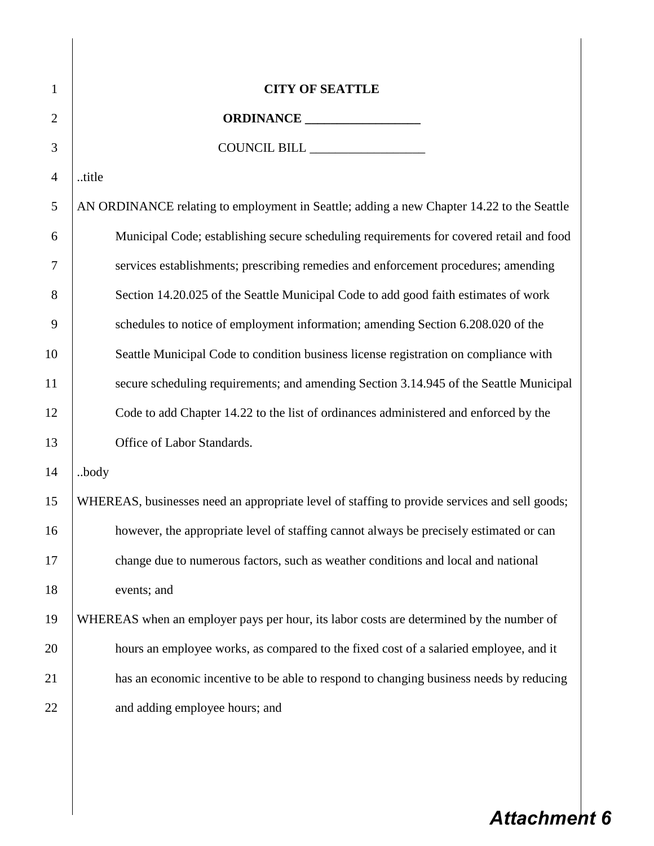| $\mathbf{1}$   | <b>CITY OF SEATTLE</b>                                                                        |
|----------------|-----------------------------------------------------------------------------------------------|
| $\overline{2}$ | ORDINANCE                                                                                     |
| 3              |                                                                                               |
| $\overline{4}$ | title                                                                                         |
| 5              | AN ORDINANCE relating to employment in Seattle; adding a new Chapter 14.22 to the Seattle     |
| 6              | Municipal Code; establishing secure scheduling requirements for covered retail and food       |
| $\tau$         | services establishments; prescribing remedies and enforcement procedures; amending            |
| 8              | Section 14.20.025 of the Seattle Municipal Code to add good faith estimates of work           |
| 9              | schedules to notice of employment information; amending Section 6.208.020 of the              |
| 10             | Seattle Municipal Code to condition business license registration on compliance with          |
| 11             | secure scheduling requirements; and amending Section 3.14.945 of the Seattle Municipal        |
| 12             | Code to add Chapter 14.22 to the list of ordinances administered and enforced by the          |
| 13             | Office of Labor Standards.                                                                    |
| 14             | body                                                                                          |
| 15             | WHEREAS, businesses need an appropriate level of staffing to provide services and sell goods; |
| 16             | however, the appropriate level of staffing cannot always be precisely estimated or can        |
| 17             | change due to numerous factors, such as weather conditions and local and national             |
| 18             | events; and                                                                                   |
| 19             | WHEREAS when an employer pays per hour, its labor costs are determined by the number of       |
| 20             | hours an employee works, as compared to the fixed cost of a salaried employee, and it         |
| 21             | has an economic incentive to be able to respond to changing business needs by reducing        |
| 22             | and adding employee hours; and                                                                |
|                |                                                                                               |

## *Attachment 6*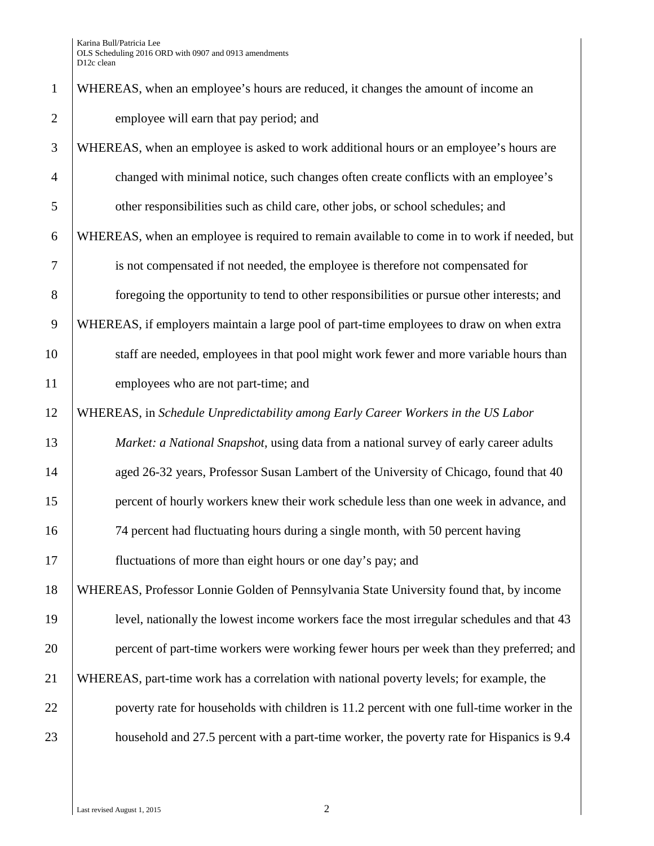# WHEREAS, when an employee's hours are reduced, it changes the amount of income an 2 employee will earn that pay period; and WHEREAS, when an employee is asked to work additional hours or an employee's hours are changed with minimal notice, such changes often create conflicts with an employee's other responsibilities such as child care, other jobs, or school schedules; and WHEREAS, when an employee is required to remain available to come in to work if needed, but is not compensated if not needed, the employee is therefore not compensated for foregoing the opportunity to tend to other responsibilities or pursue other interests; and WHEREAS, if employers maintain a large pool of part-time employees to draw on when extra 10 staff are needed, employees in that pool might work fewer and more variable hours than employees who are not part-time; and WHEREAS, in *Schedule Unpredictability among Early Career Workers in the US Labor Market: a National Snapshot*, using data from a national survey of early career adults 14 aged 26-32 years, Professor Susan Lambert of the University of Chicago, found that 40 **percent of hourly workers knew their work schedule less than one week in advance, and**  74 percent had fluctuating hours during a single month, with 50 percent having fluctuations of more than eight hours or one day's pay; and WHEREAS, Professor Lonnie Golden of Pennsylvania State University found that, by income level, nationally the lowest income workers face the most irregular schedules and that 43 percent of part-time workers were working fewer hours per week than they preferred; and WHEREAS, part-time work has a correlation with national poverty levels; for example, the 22 poverty rate for households with children is 11.2 percent with one full-time worker in the 23 household and 27.5 percent with a part-time worker, the poverty rate for Hispanics is 9.4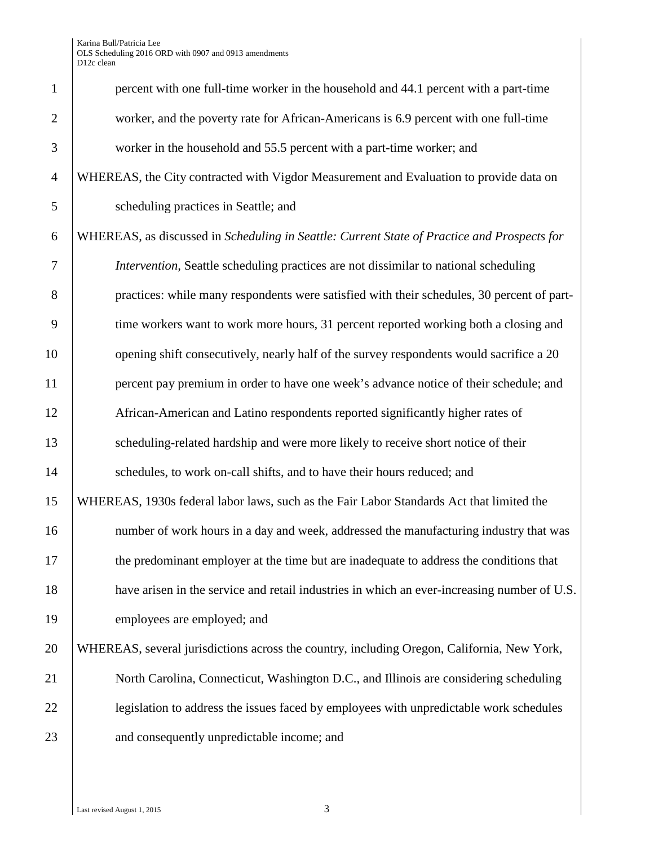| $\mathbf{1}$   | percent with one full-time worker in the household and 44.1 percent with a part-time        |
|----------------|---------------------------------------------------------------------------------------------|
| $\overline{2}$ | worker, and the poverty rate for African-Americans is 6.9 percent with one full-time        |
| 3              | worker in the household and 55.5 percent with a part-time worker; and                       |
| $\overline{4}$ | WHEREAS, the City contracted with Vigdor Measurement and Evaluation to provide data on      |
| 5              | scheduling practices in Seattle; and                                                        |
| 6              | WHEREAS, as discussed in Scheduling in Seattle: Current State of Practice and Prospects for |
| 7              | Intervention, Seattle scheduling practices are not dissimilar to national scheduling        |
| 8              | practices: while many respondents were satisfied with their schedules, 30 percent of part-  |
| 9              | time workers want to work more hours, 31 percent reported working both a closing and        |
| 10             | opening shift consecutively, nearly half of the survey respondents would sacrifice a 20     |
| 11             | percent pay premium in order to have one week's advance notice of their schedule; and       |
| 12             | African-American and Latino respondents reported significantly higher rates of              |
| 13             | scheduling-related hardship and were more likely to receive short notice of their           |
| 14             | schedules, to work on-call shifts, and to have their hours reduced; and                     |
| 15             | WHEREAS, 1930s federal labor laws, such as the Fair Labor Standards Act that limited the    |
| 16             | number of work hours in a day and week, addressed the manufacturing industry that was       |
| 17             | the predominant employer at the time but are inadequate to address the conditions that      |
| 18             | have arisen in the service and retail industries in which an ever-increasing number of U.S. |
| 19             | employees are employed; and                                                                 |
| 20             | WHEREAS, several jurisdictions across the country, including Oregon, California, New York,  |
| 21             | North Carolina, Connecticut, Washington D.C., and Illinois are considering scheduling       |
| 22             | legislation to address the issues faced by employees with unpredictable work schedules      |
| 23             | and consequently unpredictable income; and                                                  |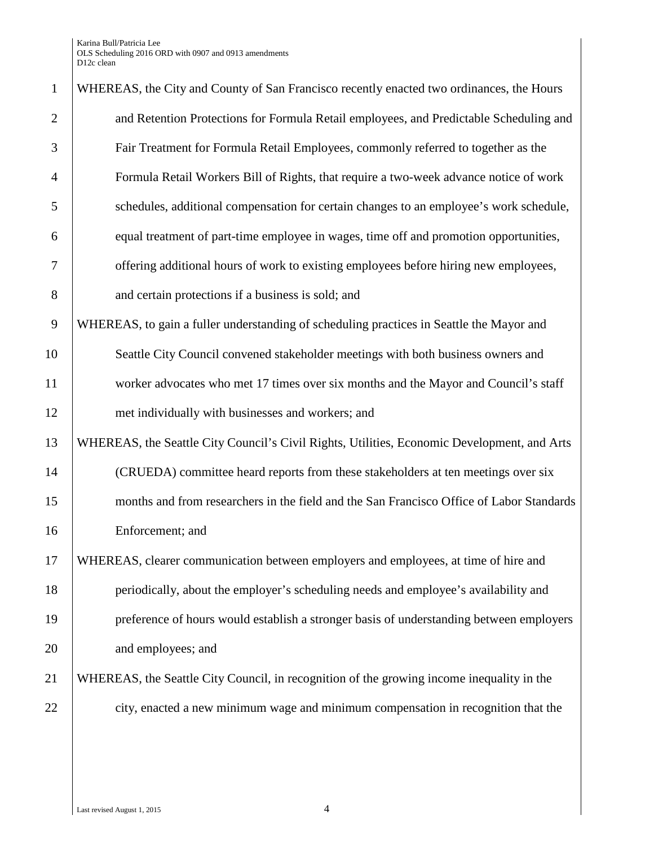| $\mathbf{1}$   | WHEREAS, the City and County of San Francisco recently enacted two ordinances, the Hours    |
|----------------|---------------------------------------------------------------------------------------------|
| $\overline{2}$ | and Retention Protections for Formula Retail employees, and Predictable Scheduling and      |
| 3              | Fair Treatment for Formula Retail Employees, commonly referred to together as the           |
| $\overline{4}$ | Formula Retail Workers Bill of Rights, that require a two-week advance notice of work       |
| 5              | schedules, additional compensation for certain changes to an employee's work schedule,      |
| 6              | equal treatment of part-time employee in wages, time off and promotion opportunities,       |
| 7              | offering additional hours of work to existing employees before hiring new employees,        |
| 8              | and certain protections if a business is sold; and                                          |
| 9              | WHEREAS, to gain a fuller understanding of scheduling practices in Seattle the Mayor and    |
| 10             | Seattle City Council convened stakeholder meetings with both business owners and            |
| 11             | worker advocates who met 17 times over six months and the Mayor and Council's staff         |
| 12             | met individually with businesses and workers; and                                           |
| 13             | WHEREAS, the Seattle City Council's Civil Rights, Utilities, Economic Development, and Arts |
| 14             | (CRUEDA) committee heard reports from these stakeholders at ten meetings over six           |
| 15             | months and from researchers in the field and the San Francisco Office of Labor Standards    |
| 16             | Enforcement; and                                                                            |
| 17             | WHEREAS, clearer communication between employers and employees, at time of hire and         |
| 18             | periodically, about the employer's scheduling needs and employee's availability and         |
| 19             | preference of hours would establish a stronger basis of understanding between employers     |
| 20             | and employees; and                                                                          |
| 21             | WHEREAS, the Seattle City Council, in recognition of the growing income inequality in the   |
| 22             | city, enacted a new minimum wage and minimum compensation in recognition that the           |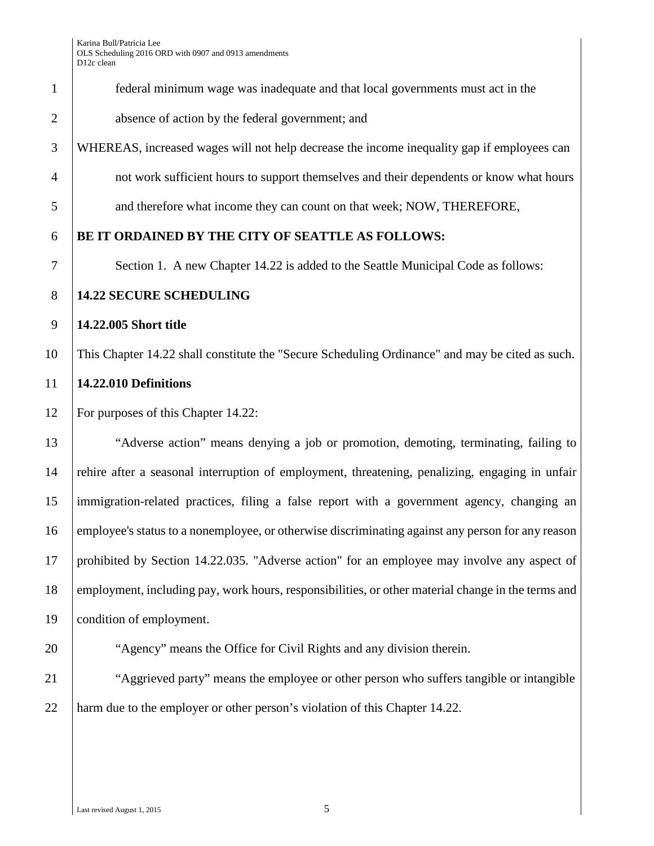federal minimum wage was inadequate and that local governments must act in the

2 absence of action by the federal government; and

 WHEREAS, increased wages will not help decrease the income inequality gap if employees can <sup>4</sup> not work sufficient hours to support themselves and their dependents or know what hours 5 and therefore what income they can count on that week; NOW, THEREFORE,

#### **BE IT ORDAINED BY THE CITY OF SEATTLE AS FOLLOWS:**

Section 1. A new Chapter 14.22 is added to the Seattle Municipal Code as follows:

#### **14.22 SECURE SCHEDULING**

#### **14.22.005 Short title**

This Chapter 14.22 shall constitute the "Secure Scheduling Ordinance" and may be cited as such.

#### **14.22.010 Definitions**

For purposes of this Chapter 14.22:

 "Adverse action" means denying a job or promotion, demoting, terminating, failing to rehire after a seasonal interruption of employment, threatening, penalizing, engaging in unfair immigration-related practices, filing a false report with a government agency, changing an employee's status to a nonemployee, or otherwise discriminating against any person for any reason prohibited by Section 14.22.035. "Adverse action" for an employee may involve any aspect of employment, including pay, work hours, responsibilities, or other material change in the terms and condition of employment.

"Agency" means the Office for Civil Rights and any division therein.

21 **Aggrieved party** means the employee or other person who suffers tangible or intangible  $\blacksquare$ harm due to the employer or other person's violation of this Chapter 14.22.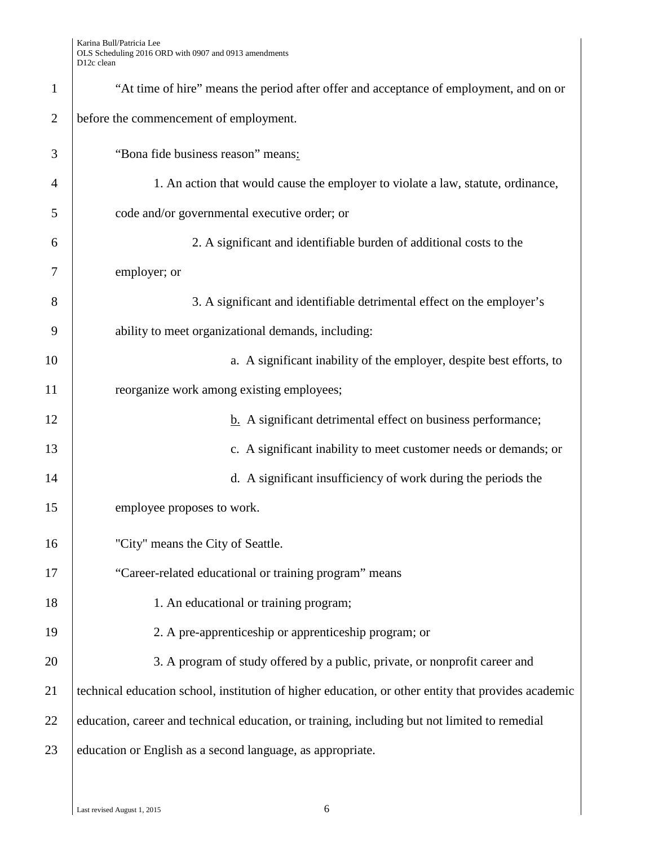| $\mathbf{1}$   | "At time of hire" means the period after offer and acceptance of employment, and on or              |
|----------------|-----------------------------------------------------------------------------------------------------|
| $\overline{2}$ | before the commencement of employment.                                                              |
|                |                                                                                                     |
| 3              | "Bona fide business reason" means:                                                                  |
| 4              | 1. An action that would cause the employer to violate a law, statute, ordinance,                    |
| 5              | code and/or governmental executive order; or                                                        |
| 6              | 2. A significant and identifiable burden of additional costs to the                                 |
| 7              | employer; or                                                                                        |
| 8              | 3. A significant and identifiable detrimental effect on the employer's                              |
| 9              | ability to meet organizational demands, including:                                                  |
| 10             | a. A significant inability of the employer, despite best efforts, to                                |
| 11             | reorganize work among existing employees;                                                           |
| 12             | <b>b.</b> A significant detrimental effect on business performance;                                 |
| 13             | c. A significant inability to meet customer needs or demands; or                                    |
| 14             | d. A significant insufficiency of work during the periods the                                       |
| 15             | employee proposes to work.                                                                          |
| 16             | "City" means the City of Seattle.                                                                   |
| 17             | "Career-related educational or training program" means                                              |
| 18             | 1. An educational or training program;                                                              |
| 19             |                                                                                                     |
|                | 2. A pre-apprenticeship or apprenticeship program; or                                               |
| 20             | 3. A program of study offered by a public, private, or nonprofit career and                         |
| 21             | technical education school, institution of higher education, or other entity that provides academic |
| 22             | education, career and technical education, or training, including but not limited to remedial       |
| 23             | education or English as a second language, as appropriate.                                          |
|                |                                                                                                     |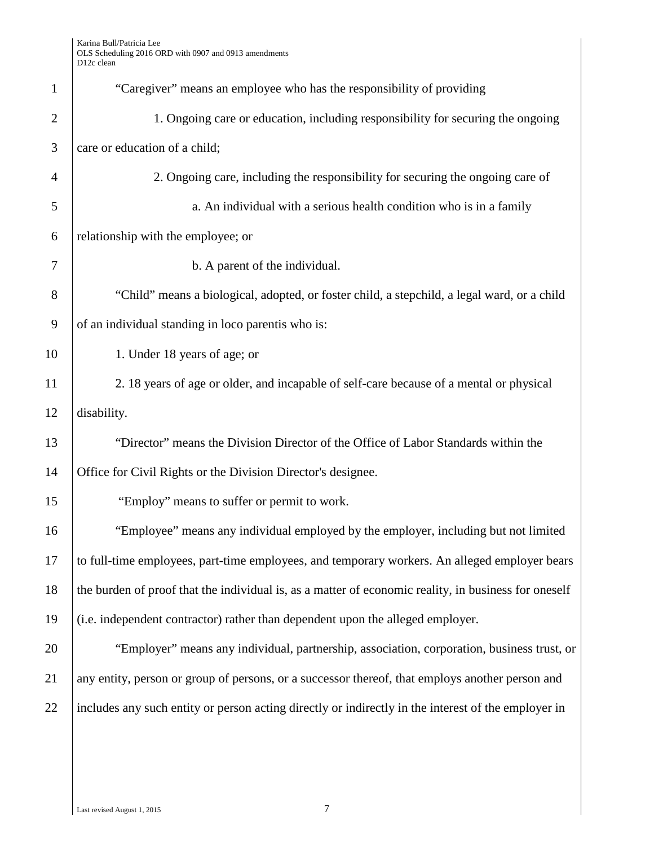| $\mathbf{1}$   | "Caregiver" means an employee who has the responsibility of providing                                |
|----------------|------------------------------------------------------------------------------------------------------|
| $\overline{2}$ | 1. Ongoing care or education, including responsibility for securing the ongoing                      |
| 3              | care or education of a child;                                                                        |
| 4              | 2. Ongoing care, including the responsibility for securing the ongoing care of                       |
| 5              | a. An individual with a serious health condition who is in a family                                  |
| 6              | relationship with the employee; or                                                                   |
| 7              | b. A parent of the individual.                                                                       |
| 8              | "Child" means a biological, adopted, or foster child, a stepchild, a legal ward, or a child          |
| 9              | of an individual standing in loco parentis who is:                                                   |
| 10             | 1. Under 18 years of age; or                                                                         |
| 11             | 2. 18 years of age or older, and incapable of self-care because of a mental or physical              |
| 12             | disability.                                                                                          |
| 13             | "Director" means the Division Director of the Office of Labor Standards within the                   |
| 14             | Office for Civil Rights or the Division Director's designee.                                         |
| 15             | "Employ" means to suffer or permit to work.                                                          |
| 16             | "Employee" means any individual employed by the employer, including but not limited                  |
| 17             | to full-time employees, part-time employees, and temporary workers. An alleged employer bears        |
| 18             | the burden of proof that the individual is, as a matter of economic reality, in business for oneself |
| 19             | (i.e. independent contractor) rather than dependent upon the alleged employer.                       |
| 20             | "Employer" means any individual, partnership, association, corporation, business trust, or           |
| 21             | any entity, person or group of persons, or a successor thereof, that employs another person and      |
| 22             | includes any such entity or person acting directly or indirectly in the interest of the employer in  |
|                |                                                                                                      |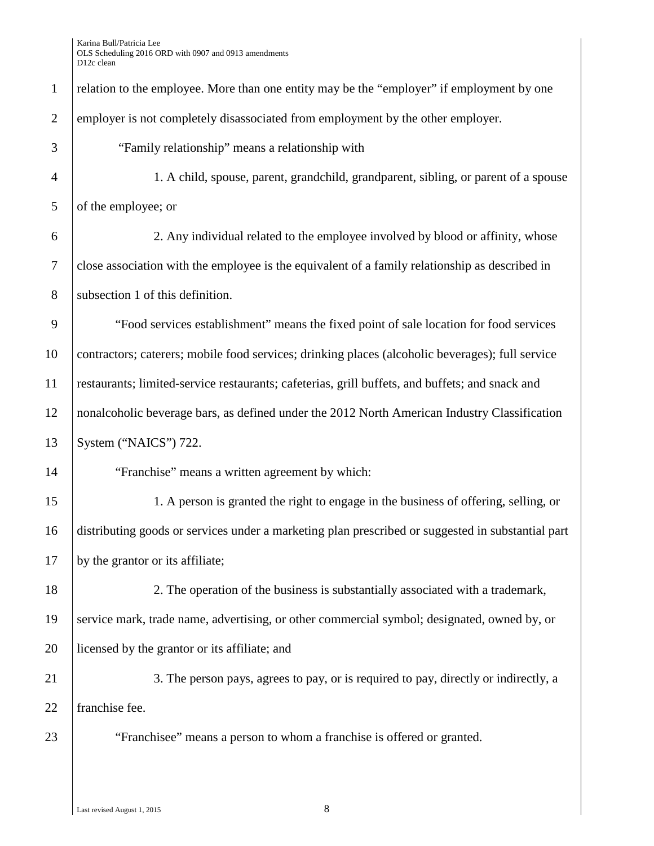| $\mathbf{1}$   | relation to the employee. More than one entity may be the "employer" if employment by one         |
|----------------|---------------------------------------------------------------------------------------------------|
| $\overline{2}$ | employer is not completely disassociated from employment by the other employer.                   |
| 3              | "Family relationship" means a relationship with                                                   |
| $\overline{4}$ | 1. A child, spouse, parent, grandchild, grandparent, sibling, or parent of a spouse               |
| 5              | of the employee; or                                                                               |
| 6              | 2. Any individual related to the employee involved by blood or affinity, whose                    |
| $\tau$         | close association with the employee is the equivalent of a family relationship as described in    |
| 8              | subsection 1 of this definition.                                                                  |
| 9              | "Food services establishment" means the fixed point of sale location for food services            |
| 10             | contractors; caterers; mobile food services; drinking places (alcoholic beverages); full service  |
| 11             | restaurants; limited-service restaurants; cafeterias, grill buffets, and buffets; and snack and   |
| 12             | nonalcoholic beverage bars, as defined under the 2012 North American Industry Classification      |
| 13             | System ("NAICS") 722.                                                                             |
| 14             | "Franchise" means a written agreement by which:                                                   |
| 15             | 1. A person is granted the right to engage in the business of offering, selling, or               |
| 16             | distributing goods or services under a marketing plan prescribed or suggested in substantial part |
| 17             | by the grantor or its affiliate;                                                                  |
| 18             | 2. The operation of the business is substantially associated with a trademark,                    |
| 19             | service mark, trade name, advertising, or other commercial symbol; designated, owned by, or       |
| 20             | licensed by the grantor or its affiliate; and                                                     |
| 21             | 3. The person pays, agrees to pay, or is required to pay, directly or indirectly, a               |
| 22             | franchise fee.                                                                                    |
| 23             | "Franchisee" means a person to whom a franchise is offered or granted.                            |
|                |                                                                                                   |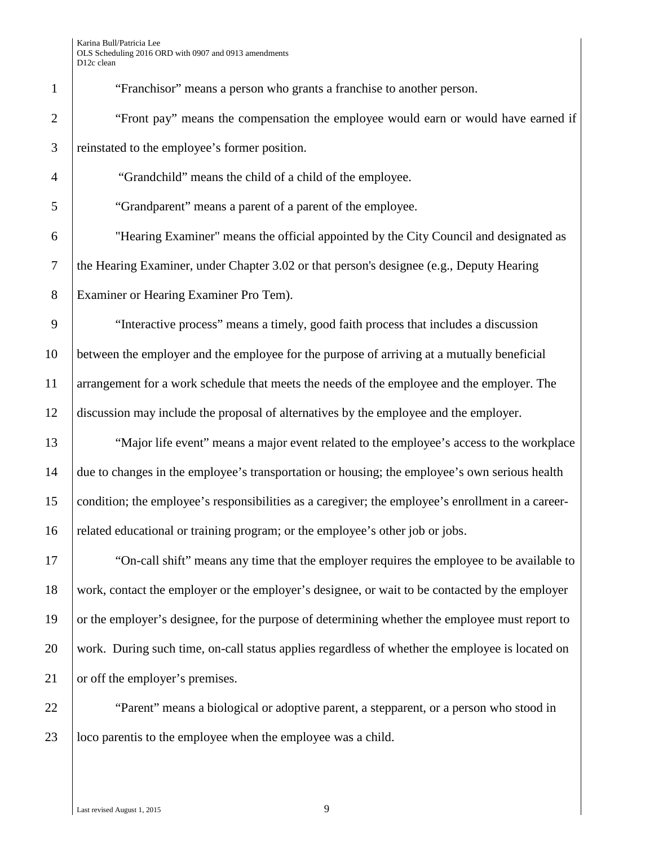"Franchisor" means a person who grants a franchise to another person. 2 "Front pay" means the compensation the employee would earn or would have earned if reinstated to the employee's former position. "Grandchild" means the child of a child of the employee. "Grandparent" means a parent of a parent of the employee. "Hearing Examiner" means the official appointed by the City Council and designated as the Hearing Examiner, under Chapter 3.02 or that person's designee (e.g., Deputy Hearing Examiner or Hearing Examiner Pro Tem). 9 | "Interactive process" means a timely, good faith process that includes a discussion between the employer and the employee for the purpose of arriving at a mutually beneficial arrangement for a work schedule that meets the needs of the employee and the employer. The discussion may include the proposal of alternatives by the employee and the employer. "Major life event" means a major event related to the employee's access to the workplace due to changes in the employee's transportation or housing; the employee's own serious health condition; the employee's responsibilities as a caregiver; the employee's enrollment in a career- related educational or training program; or the employee's other job or jobs. "On-call shift" means any time that the employer requires the employee to be available to work, contact the employer or the employer's designee, or wait to be contacted by the employer or the employer's designee, for the purpose of determining whether the employee must report to work. During such time, on-call status applies regardless of whether the employee is located on 21 or off the employer's premises. 22 T "Parent" means a biological or adoptive parent, a stepparent, or a person who stood in

23 loco parentis to the employee when the employee was a child.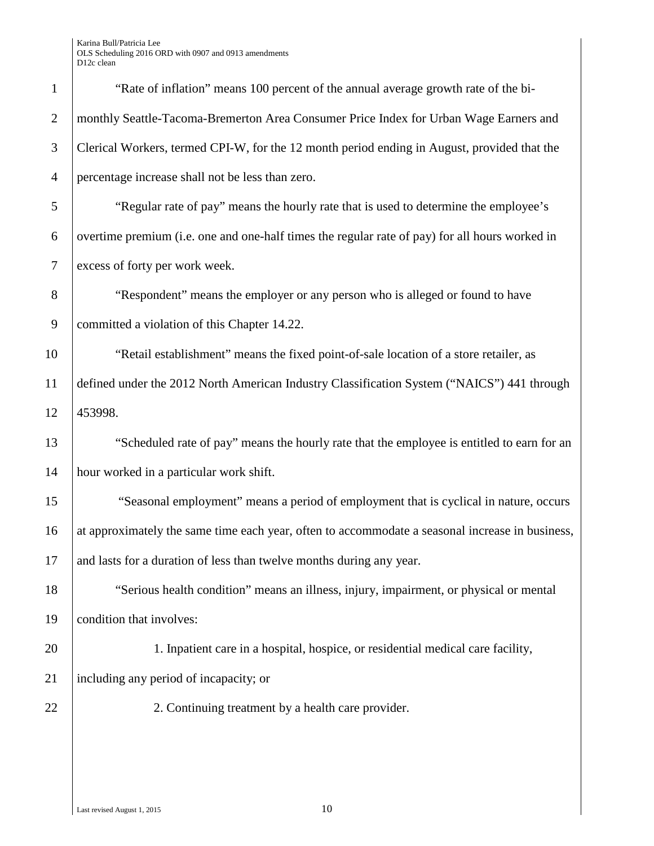| $\mathbf{1}$   | "Rate of inflation" means 100 percent of the annual average growth rate of the bi-              |
|----------------|-------------------------------------------------------------------------------------------------|
| $\overline{2}$ | monthly Seattle-Tacoma-Bremerton Area Consumer Price Index for Urban Wage Earners and           |
| 3              | Clerical Workers, termed CPI-W, for the 12 month period ending in August, provided that the     |
| $\overline{4}$ | percentage increase shall not be less than zero.                                                |
| 5              | "Regular rate of pay" means the hourly rate that is used to determine the employee's            |
| 6              | overtime premium (i.e. one and one-half times the regular rate of pay) for all hours worked in  |
| $\tau$         | excess of forty per work week.                                                                  |
| 8              | "Respondent" means the employer or any person who is alleged or found to have                   |
| 9              | committed a violation of this Chapter 14.22.                                                    |
| 10             | "Retail establishment" means the fixed point-of-sale location of a store retailer, as           |
| 11             | defined under the 2012 North American Industry Classification System ("NAICS") 441 through      |
| 12             | 453998.                                                                                         |
| 13             | "Scheduled rate of pay" means the hourly rate that the employee is entitled to earn for an      |
| 14             | hour worked in a particular work shift.                                                         |
| 15             | "Seasonal employment" means a period of employment that is cyclical in nature, occurs           |
| 16             | at approximately the same time each year, often to accommodate a seasonal increase in business, |
| 17             | and lasts for a duration of less than twelve months during any year.                            |
| 18             | "Serious health condition" means an illness, injury, impairment, or physical or mental          |
| 19             | condition that involves:                                                                        |
| 20             | 1. Inpatient care in a hospital, hospice, or residential medical care facility,                 |
| 21             | including any period of incapacity; or                                                          |
| 22             | 2. Continuing treatment by a health care provider.                                              |
|                |                                                                                                 |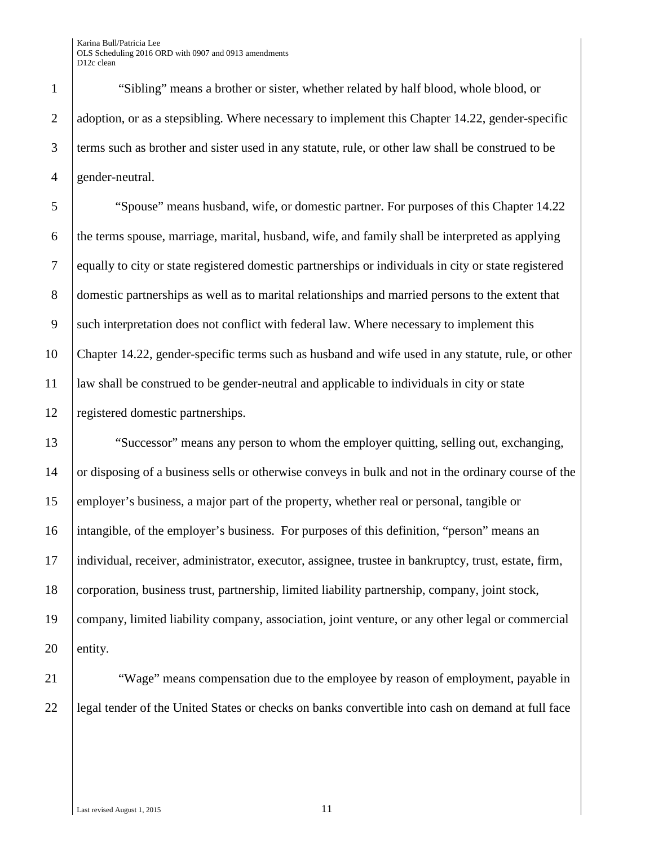"Sibling" means a brother or sister, whether related by half blood, whole blood, or 2 adoption, or as a stepsibling. Where necessary to implement this Chapter 14.22, gender-specific terms such as brother and sister used in any statute, rule, or other law shall be construed to be 4 gender-neutral.

 "Spouse" means husband, wife, or domestic partner. For purposes of this Chapter 14.22 the terms spouse, marriage, marital, husband, wife, and family shall be interpreted as applying equally to city or state registered domestic partnerships or individuals in city or state registered 8 domestic partnerships as well as to marital relationships and married persons to the extent that 9 such interpretation does not conflict with federal law. Where necessary to implement this Chapter 14.22, gender-specific terms such as husband and wife used in any statute, rule, or other law shall be construed to be gender-neutral and applicable to individuals in city or state registered domestic partnerships.

 "Successor" means any person to whom the employer quitting, selling out, exchanging, or disposing of a business sells or otherwise conveys in bulk and not in the ordinary course of the employer's business, a major part of the property, whether real or personal, tangible or intangible, of the employer's business. For purposes of this definition, "person" means an individual, receiver, administrator, executor, assignee, trustee in bankruptcy, trust, estate, firm, corporation, business trust, partnership, limited liability partnership, company, joint stock, company, limited liability company, association, joint venture, or any other legal or commercial 20 entity.

**Wage**" means compensation due to the employee by reason of employment, payable in legal tender of the United States or checks on banks convertible into cash on demand at full face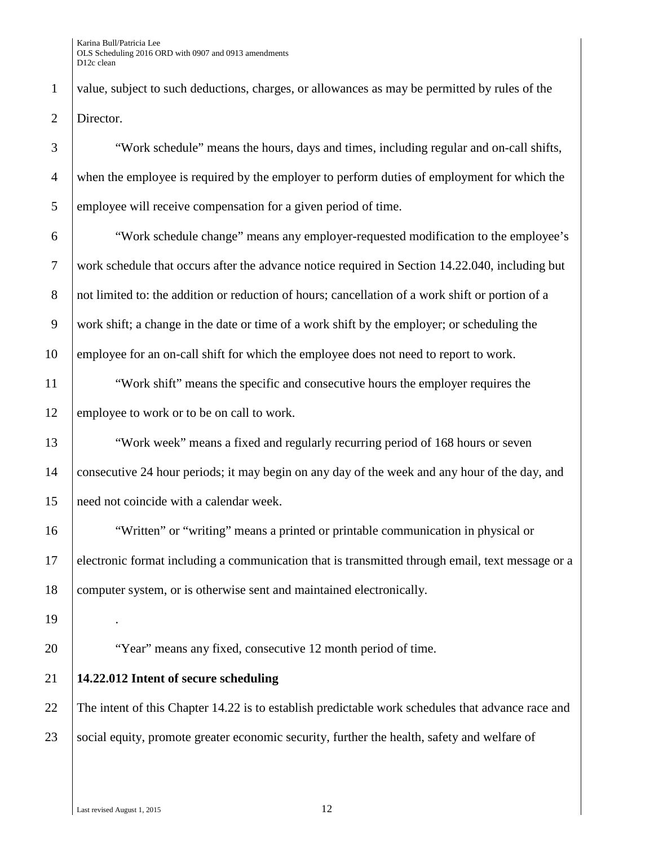1 value, subject to such deductions, charges, or allowances as may be permitted by rules of the 2 Director.

3 "Work schedule" means the hours, days and times, including regular and on-call shifts, 4 when the employee is required by the employer to perform duties of employment for which the 5 employee will receive compensation for a given period of time.

6 "Work schedule change" means any employer-requested modification to the employee's 7 work schedule that occurs after the advance notice required in Section 14.22.040, including but 8 not limited to: the addition or reduction of hours; cancellation of a work shift or portion of a 9 work shift; a change in the date or time of a work shift by the employer; or scheduling the 10 employee for an on-call shift for which the employee does not need to report to work.

11 "Work shift" means the specific and consecutive hours the employer requires the 12 employee to work or to be on call to work.

13 "Work week" means a fixed and regularly recurring period of 168 hours or seven 14 consecutive 24 hour periods; it may begin on any day of the week and any hour of the day, and 15 need not coincide with a calendar week.

16 "Written" or "writing" means a printed or printable communication in physical or 17 electronic format including a communication that is transmitted through email, text message or a 18 computer system, or is otherwise sent and maintained electronically.

19 .

20 "Year" means any fixed, consecutive 12 month period of time.

21 **14.22.012 Intent of secure scheduling**

22 The intent of this Chapter 14.22 is to establish predictable work schedules that advance race and 23 Social equity, promote greater economic security, further the health, safety and welfare of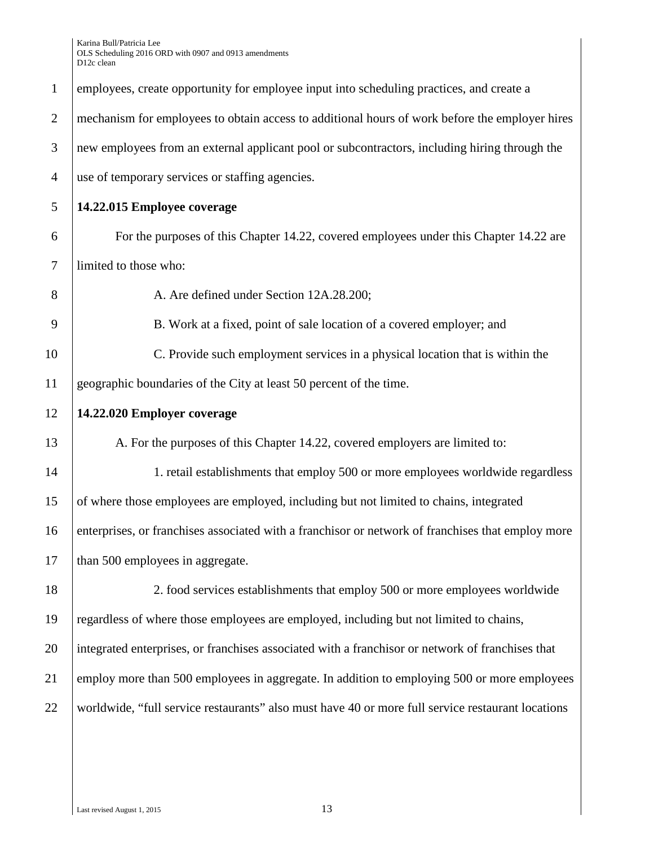| $\mathbf{1}$   | employees, create opportunity for employee input into scheduling practices, and create a          |
|----------------|---------------------------------------------------------------------------------------------------|
| $\overline{2}$ | mechanism for employees to obtain access to additional hours of work before the employer hires    |
| 3              | new employees from an external applicant pool or subcontractors, including hiring through the     |
| $\overline{4}$ | use of temporary services or staffing agencies.                                                   |
| 5              | 14.22.015 Employee coverage                                                                       |
| 6              | For the purposes of this Chapter 14.22, covered employees under this Chapter 14.22 are            |
| $\tau$         | limited to those who:                                                                             |
| 8              | A. Are defined under Section 12A.28.200;                                                          |
| 9              | B. Work at a fixed, point of sale location of a covered employer; and                             |
| 10             | C. Provide such employment services in a physical location that is within the                     |
| 11             | geographic boundaries of the City at least 50 percent of the time.                                |
|                |                                                                                                   |
|                | 14.22.020 Employer coverage                                                                       |
| 12<br>13       | A. For the purposes of this Chapter 14.22, covered employers are limited to:                      |
|                | 1. retail establishments that employ 500 or more employees worldwide regardless                   |
| 14<br>15       | of where those employees are employed, including but not limited to chains, integrated            |
|                | enterprises, or franchises associated with a franchisor or network of franchises that employ more |
| 16<br>17       | than 500 employees in aggregate.                                                                  |
| 18             | 2. food services establishments that employ 500 or more employees worldwide                       |
| 19             | regardless of where those employees are employed, including but not limited to chains,            |
| 20             | integrated enterprises, or franchises associated with a franchisor or network of franchises that  |
| 21             | employ more than 500 employees in aggregate. In addition to employing 500 or more employees       |
| 22             | worldwide, "full service restaurants" also must have 40 or more full service restaurant locations |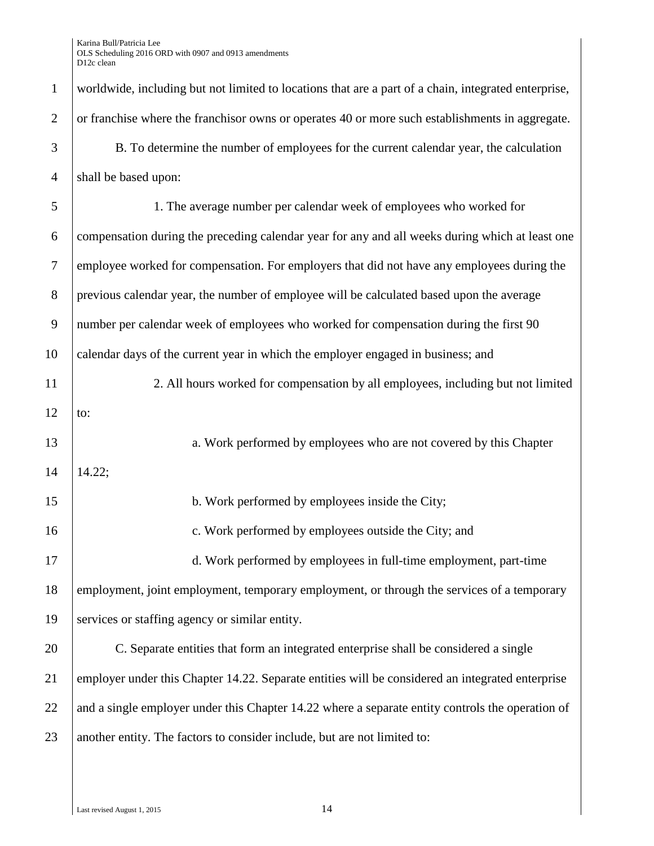| $\mathbf{1}$   | worldwide, including but not limited to locations that are a part of a chain, integrated enterprise, |
|----------------|------------------------------------------------------------------------------------------------------|
| $\overline{2}$ | or franchise where the franchisor owns or operates 40 or more such establishments in aggregate.      |
| 3              | B. To determine the number of employees for the current calendar year, the calculation               |
| $\overline{4}$ | shall be based upon:                                                                                 |
| 5              | 1. The average number per calendar week of employees who worked for                                  |
| 6              | compensation during the preceding calendar year for any and all weeks during which at least one      |
| $\tau$         | employee worked for compensation. For employers that did not have any employees during the           |
| $8\,$          | previous calendar year, the number of employee will be calculated based upon the average             |
| 9              | number per calendar week of employees who worked for compensation during the first 90                |
| 10             | calendar days of the current year in which the employer engaged in business; and                     |
| 11             | 2. All hours worked for compensation by all employees, including but not limited                     |
| 12             | to:                                                                                                  |
| 13             | a. Work performed by employees who are not covered by this Chapter                                   |
| 14             | 14.22;                                                                                               |
| 15             | b. Work performed by employees inside the City;                                                      |
| 16             | c. Work performed by employees outside the City; and                                                 |
| 17             | d. Work performed by employees in full-time employment, part-time                                    |
| 18             | employment, joint employment, temporary employment, or through the services of a temporary           |
| 19             | services or staffing agency or similar entity.                                                       |
| 20             | C. Separate entities that form an integrated enterprise shall be considered a single                 |
| 21             | employer under this Chapter 14.22. Separate entities will be considered an integrated enterprise     |
| 22             | and a single employer under this Chapter 14.22 where a separate entity controls the operation of     |
| 23             | another entity. The factors to consider include, but are not limited to:                             |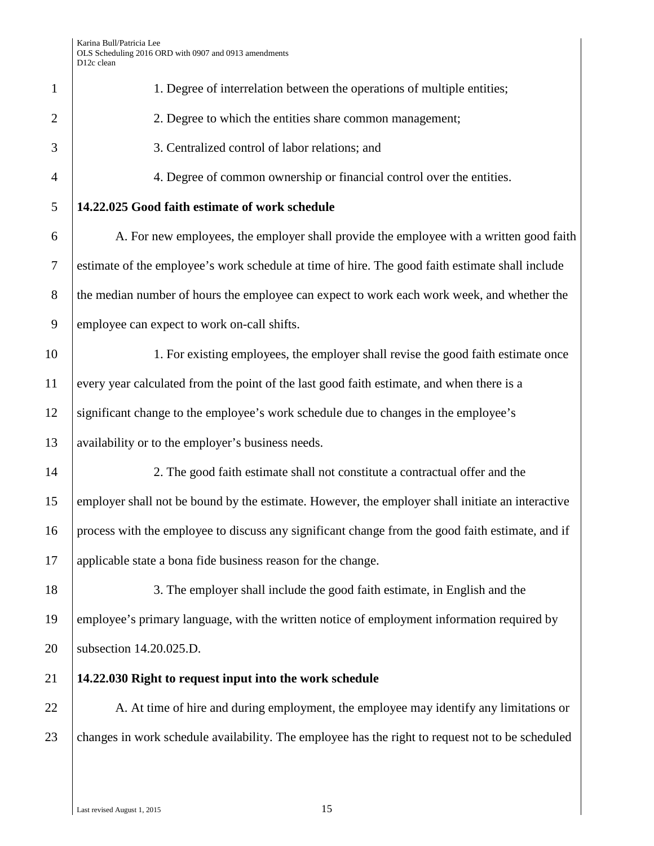| $\mathbf{1}$   | 1. Degree of interrelation between the operations of multiple entities;                          |
|----------------|--------------------------------------------------------------------------------------------------|
| $\overline{2}$ | 2. Degree to which the entities share common management;                                         |
| 3              | 3. Centralized control of labor relations; and                                                   |
| $\overline{4}$ | 4. Degree of common ownership or financial control over the entities.                            |
| 5              | 14.22.025 Good faith estimate of work schedule                                                   |
| 6              | A. For new employees, the employer shall provide the employee with a written good faith          |
| $\tau$         | estimate of the employee's work schedule at time of hire. The good faith estimate shall include  |
| 8              | the median number of hours the employee can expect to work each work week, and whether the       |
| 9              | employee can expect to work on-call shifts.                                                      |
| 10             | 1. For existing employees, the employer shall revise the good faith estimate once                |
| 11             | every year calculated from the point of the last good faith estimate, and when there is a        |
| 12             | significant change to the employee's work schedule due to changes in the employee's              |
| 13             | availability or to the employer's business needs.                                                |
| 14             | 2. The good faith estimate shall not constitute a contractual offer and the                      |
| 15             | employer shall not be bound by the estimate. However, the employer shall initiate an interactive |
| 16             | process with the employee to discuss any significant change from the good faith estimate, and if |
| 17             | applicable state a bona fide business reason for the change.                                     |
| 18             | 3. The employer shall include the good faith estimate, in English and the                        |
| 19             | employee's primary language, with the written notice of employment information required by       |
| 20             | subsection 14.20.025.D.                                                                          |
| 21             | 14.22.030 Right to request input into the work schedule                                          |
| 22             | A. At time of hire and during employment, the employee may identify any limitations or           |
| 23             | changes in work schedule availability. The employee has the right to request not to be scheduled |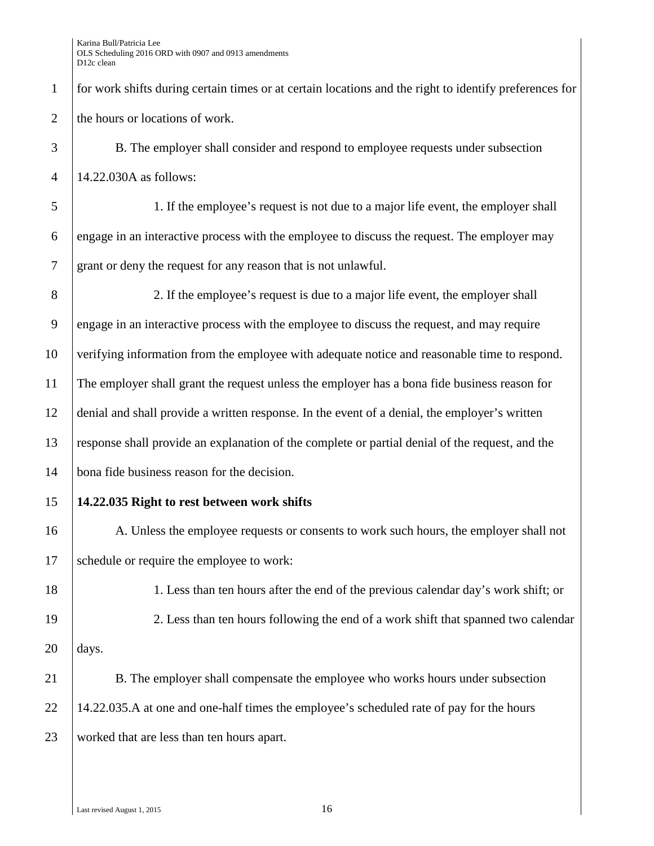for work shifts during certain times or at certain locations and the right to identify preferences for 2 the hours or locations of work.

 B. The employer shall consider and respond to employee requests under subsection 4 | 14.22.030A as follows:

 1. If the employee's request is not due to a major life event, the employer shall  $\overline{6}$  engage in an interactive process with the employee to discuss the request. The employer may grant or deny the request for any reason that is not unlawful.

8 | 2. If the employee's request is due to a major life event, the employer shall engage in an interactive process with the employee to discuss the request, and may require verifying information from the employee with adequate notice and reasonable time to respond. The employer shall grant the request unless the employer has a bona fide business reason for denial and shall provide a written response. In the event of a denial, the employer's written response shall provide an explanation of the complete or partial denial of the request, and the bona fide business reason for the decision.

#### **14.22.035 Right to rest between work shifts**

16 A. Unless the employee requests or consents to work such hours, the employer shall not schedule or require the employee to work:

18 18 1. Less than ten hours after the end of the previous calendar day's work shift; or 2. Less than ten hours following the end of a work shift that spanned two calendar days.

21 B. The employer shall compensate the employee who works hours under subsection 14.22.035.A at one and one-half times the employee's scheduled rate of pay for the hours worked that are less than ten hours apart.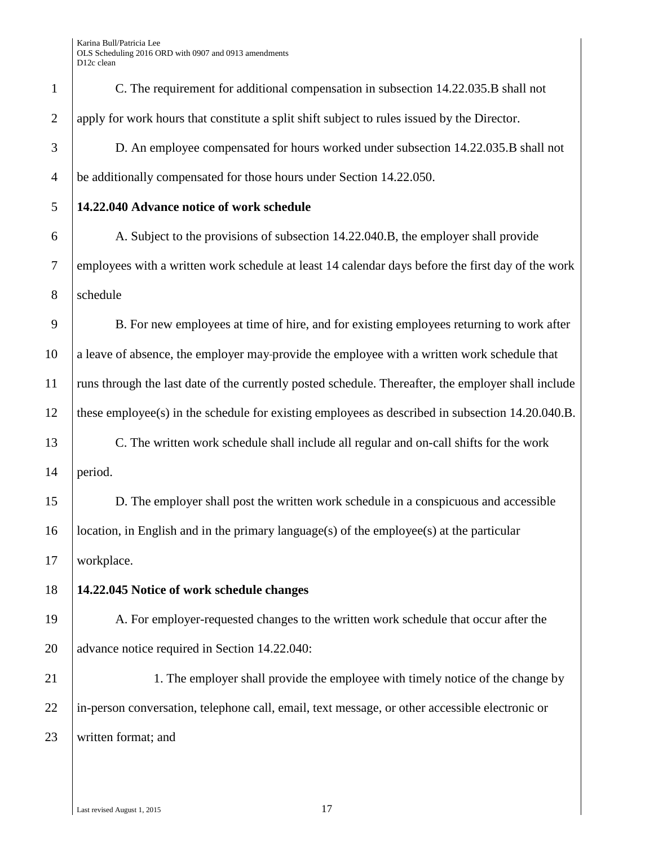| $\mathbf{1}$   | C. The requirement for additional compensation in subsection 14.22.035.B shall not                  |
|----------------|-----------------------------------------------------------------------------------------------------|
| $\mathbf{2}$   | apply for work hours that constitute a split shift subject to rules issued by the Director.         |
| 3              | D. An employee compensated for hours worked under subsection 14.22.035.B shall not                  |
| $\overline{4}$ | be additionally compensated for those hours under Section 14.22.050.                                |
| 5              | 14.22.040 Advance notice of work schedule                                                           |
| 6              | A. Subject to the provisions of subsection 14.22.040.B, the employer shall provide                  |
| $\tau$         | employees with a written work schedule at least 14 calendar days before the first day of the work   |
| $8\,$          | schedule                                                                                            |
| 9              | B. For new employees at time of hire, and for existing employees returning to work after            |
| 10             | a leave of absence, the employer may-provide the employee with a written work schedule that         |
| 11             | runs through the last date of the currently posted schedule. Thereafter, the employer shall include |
| 12             | these employee(s) in the schedule for existing employees as described in subsection 14.20.040.B.    |
| 13             | C. The written work schedule shall include all regular and on-call shifts for the work              |
| 14             | period.                                                                                             |
| 15             | D. The employer shall post the written work schedule in a conspicuous and accessible                |
| 16             | location, in English and in the primary language(s) of the employee(s) at the particular            |
| 17             | workplace.                                                                                          |
| 18             | 14.22.045 Notice of work schedule changes                                                           |
| 19             | A. For employer-requested changes to the written work schedule that occur after the                 |
| 20             | advance notice required in Section 14.22.040:                                                       |
| 21             | 1. The employer shall provide the employee with timely notice of the change by                      |
| 22             | in-person conversation, telephone call, email, text message, or other accessible electronic or      |
| 23             | written format; and                                                                                 |
|                |                                                                                                     |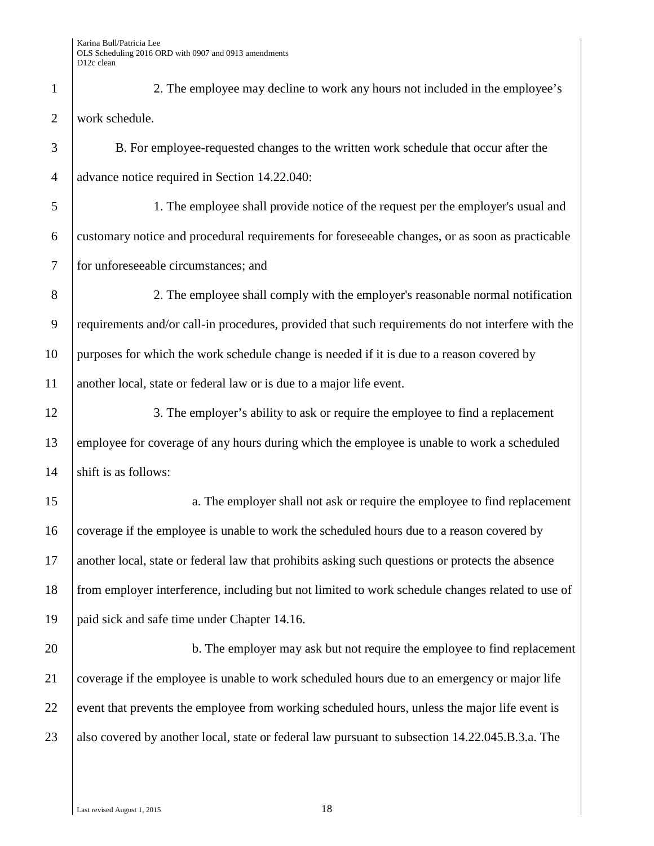2. The employee may decline to work any hours not included in the employee's work schedule. B. For employee-requested changes to the written work schedule that occur after the advance notice required in Section 14.22.040: 1. The employee shall provide notice of the request per the employer's usual and customary notice and procedural requirements for foreseeable changes, or as soon as practicable for unforeseeable circumstances; and 2. The employee shall comply with the employer's reasonable normal notification 9 requirements and/or call-in procedures, provided that such requirements do not interfere with the 10 purposes for which the work schedule change is needed if it is due to a reason covered by another local, state or federal law or is due to a major life event. 12 3. The employer's ability to ask or require the employee to find a replacement 13 employee for coverage of any hours during which the employee is unable to work a scheduled shift is as follows: 15 a. The employer shall not ask or require the employee to find replacement 16 coverage if the employee is unable to work the scheduled hours due to a reason covered by another local, state or federal law that prohibits asking such questions or protects the absence from employer interference, including but not limited to work schedule changes related to use of paid sick and safe time under Chapter 14.16. **b.** The employer may ask but not require the employee to find replacement coverage if the employee is unable to work scheduled hours due to an emergency or major life 22 event that prevents the employee from working scheduled hours, unless the major life event is 23 also covered by another local, state or federal law pursuant to subsection 14.22.045.B.3.a. The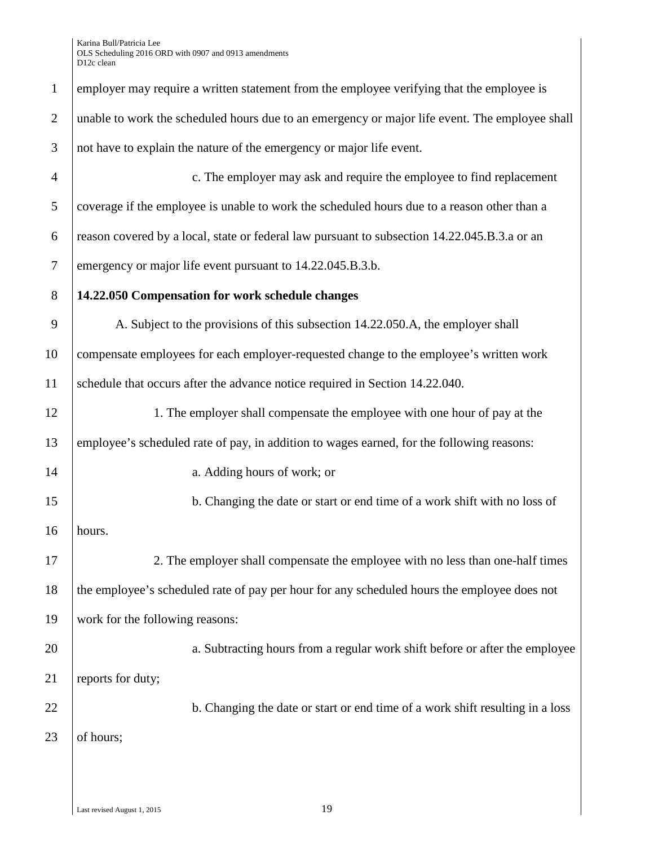| employer may require a written statement from the employee verifying that the employee is      |
|------------------------------------------------------------------------------------------------|
| unable to work the scheduled hours due to an emergency or major life event. The employee shall |
| not have to explain the nature of the emergency or major life event.                           |
| c. The employer may ask and require the employee to find replacement                           |
| coverage if the employee is unable to work the scheduled hours due to a reason other than a    |
| reason covered by a local, state or federal law pursuant to subsection 14.22.045.B.3.a or an   |
| emergency or major life event pursuant to 14.22.045.B.3.b.                                     |
| 14.22.050 Compensation for work schedule changes                                               |
| A. Subject to the provisions of this subsection 14.22.050.A, the employer shall                |
| compensate employees for each employer-requested change to the employee's written work         |
| schedule that occurs after the advance notice required in Section 14.22.040.                   |
| 1. The employer shall compensate the employee with one hour of pay at the                      |
| employee's scheduled rate of pay, in addition to wages earned, for the following reasons:      |
| a. Adding hours of work; or                                                                    |
| b. Changing the date or start or end time of a work shift with no loss of                      |
| hours.                                                                                         |
| 2. The employer shall compensate the employee with no less than one-half times                 |
| the employee's scheduled rate of pay per hour for any scheduled hours the employee does not    |
| work for the following reasons:                                                                |
| a. Subtracting hours from a regular work shift before or after the employee                    |
| reports for duty;                                                                              |
| b. Changing the date or start or end time of a work shift resulting in a loss                  |
| of hours;                                                                                      |
|                                                                                                |
|                                                                                                |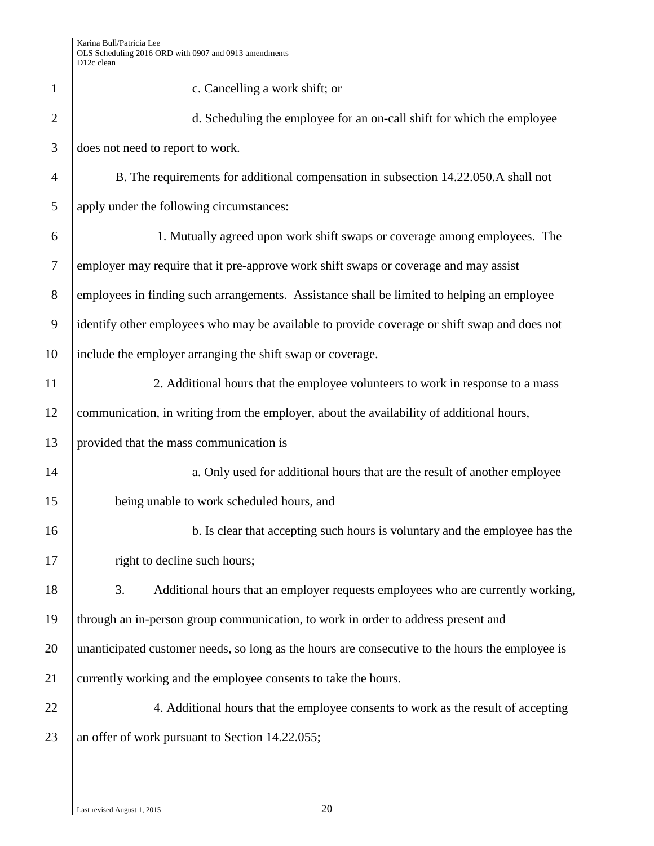| $\mathbf{1}$   | c. Cancelling a work shift; or                                                                  |
|----------------|-------------------------------------------------------------------------------------------------|
| $\overline{2}$ | d. Scheduling the employee for an on-call shift for which the employee                          |
| 3              | does not need to report to work.                                                                |
| 4              | B. The requirements for additional compensation in subsection 14.22.050.A shall not             |
| 5              | apply under the following circumstances:                                                        |
| 6              | 1. Mutually agreed upon work shift swaps or coverage among employees. The                       |
| $\tau$         | employer may require that it pre-approve work shift swaps or coverage and may assist            |
| 8              | employees in finding such arrangements. Assistance shall be limited to helping an employee      |
| 9              | identify other employees who may be available to provide coverage or shift swap and does not    |
| 10             | include the employer arranging the shift swap or coverage.                                      |
| 11             | 2. Additional hours that the employee volunteers to work in response to a mass                  |
| 12             | communication, in writing from the employer, about the availability of additional hours,        |
| 13             | provided that the mass communication is                                                         |
| 14             | a. Only used for additional hours that are the result of another employee                       |
| 15             | being unable to work scheduled hours, and                                                       |
| 16             | b. Is clear that accepting such hours is voluntary and the employee has the                     |
| 17             | right to decline such hours;                                                                    |
| 18             | Additional hours that an employer requests employees who are currently working,<br>3.           |
| 19             | through an in-person group communication, to work in order to address present and               |
| 20             | unanticipated customer needs, so long as the hours are consecutive to the hours the employee is |
| 21             | currently working and the employee consents to take the hours.                                  |
| 22             | 4. Additional hours that the employee consents to work as the result of accepting               |
| 23             | an offer of work pursuant to Section 14.22.055;                                                 |
|                |                                                                                                 |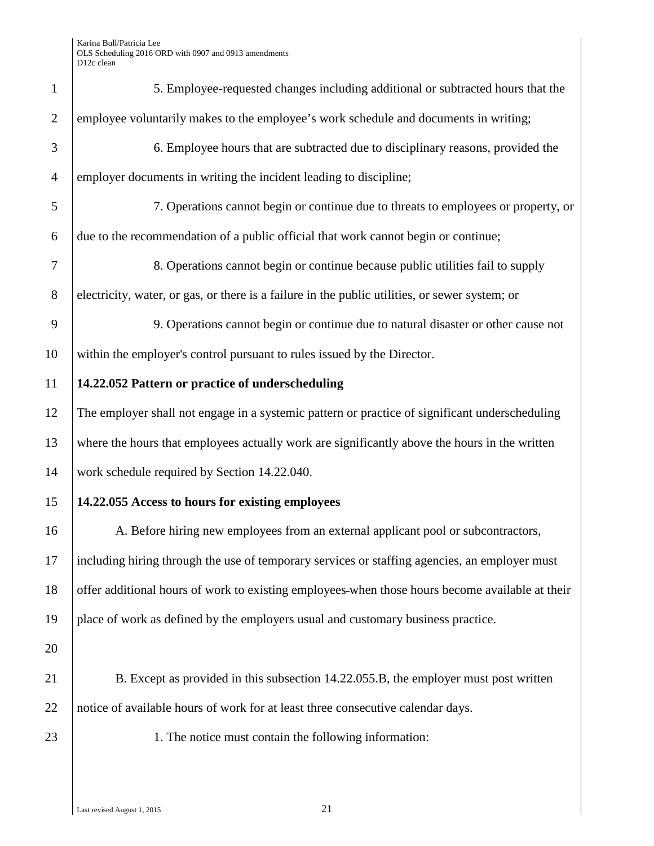| $\mathbf{1}$   | 5. Employee-requested changes including additional or subtracted hours that the                 |
|----------------|-------------------------------------------------------------------------------------------------|
| $\overline{2}$ | employee voluntarily makes to the employee's work schedule and documents in writing;            |
| 3              | 6. Employee hours that are subtracted due to disciplinary reasons, provided the                 |
| $\overline{4}$ | employer documents in writing the incident leading to discipline;                               |
| 5              | 7. Operations cannot begin or continue due to threats to employees or property, or              |
| 6              | due to the recommendation of a public official that work cannot begin or continue;              |
| 7              | 8. Operations cannot begin or continue because public utilities fail to supply                  |
| 8              | electricity, water, or gas, or there is a failure in the public utilities, or sewer system; or  |
| 9              | 9. Operations cannot begin or continue due to natural disaster or other cause not               |
| 10             | within the employer's control pursuant to rules issued by the Director.                         |
| 11             | 14.22.052 Pattern or practice of underscheduling                                                |
| 12             | The employer shall not engage in a systemic pattern or practice of significant underscheduling  |
| 13             | where the hours that employees actually work are significantly above the hours in the written   |
| 14             | work schedule required by Section 14.22.040.                                                    |
| 15             | 14.22.055 Access to hours for existing employees                                                |
| 16             | A. Before hiring new employees from an external applicant pool or subcontractors,               |
| 17             | including hiring through the use of temporary services or staffing agencies, an employer must   |
| 18             | offer additional hours of work to existing employees-when those hours become available at their |
| 19             | place of work as defined by the employers usual and customary business practice.                |
| 20             |                                                                                                 |
| 21             | B. Except as provided in this subsection 14.22.055.B, the employer must post written            |
| 22             | notice of available hours of work for at least three consecutive calendar days.                 |
| 23             | 1. The notice must contain the following information:                                           |
|                |                                                                                                 |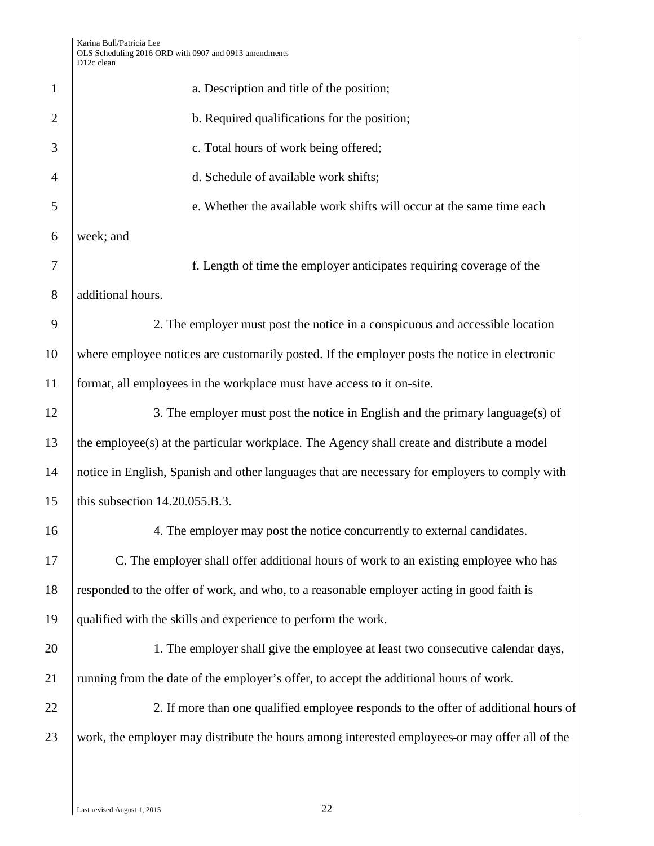Karina Bull/Patricia Lee OLS Scheduling 2016 ORD with 0907 and 0913 amendments D12c clean 1 a. Description and title of the position; 2 b. Required qualifications for the position; 3 **c.** Total hours of work being offered; 4 d. Schedule of available work shifts; 5 e. Whether the available work shifts will occur at the same time each 6 week; and 7 f. Length of time the employer anticipates requiring coverage of the 8 | additional hours. 9 2. The employer must post the notice in a conspicuous and accessible location 10 where employee notices are customarily posted. If the employer posts the notice in electronic 11 format, all employees in the workplace must have access to it on-site. 12 3. The employer must post the notice in English and the primary language(s) of 13 the employee(s) at the particular workplace. The Agency shall create and distribute a model 14 notice in English, Spanish and other languages that are necessary for employers to comply with 15 | this subsection 14.20.055.B.3. 16 16 4. The employer may post the notice concurrently to external candidates. 17 C. The employer shall offer additional hours of work to an existing employee who has 18 responded to the offer of work, and who, to a reasonable employer acting in good faith is 19 qualified with the skills and experience to perform the work. 20 1. The employer shall give the employee at least two consecutive calendar days, 21 | running from the date of the employer's offer, to accept the additional hours of work. 22 2. If more than one qualified employee responds to the offer of additional hours of 23 work, the employer may distribute the hours among interested employees-or may offer all of the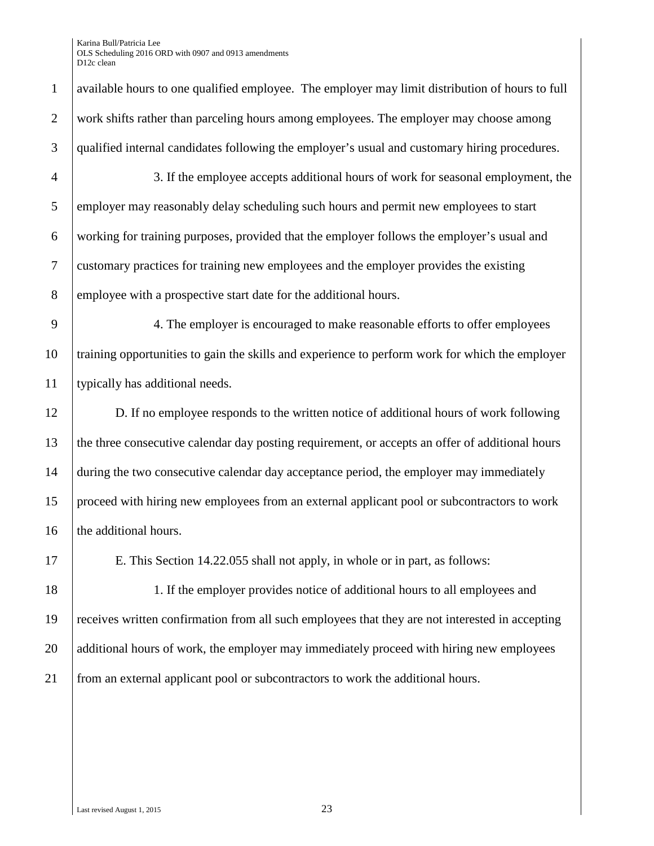available hours to one qualified employee. The employer may limit distribution of hours to full 2 work shifts rather than parceling hours among employees. The employer may choose among 3 qualified internal candidates following the employer's usual and customary hiring procedures. 3. If the employee accepts additional hours of work for seasonal employment, the employer may reasonably delay scheduling such hours and permit new employees to start

 working for training purposes, provided that the employer follows the employer's usual and customary practices for training new employees and the employer provides the existing employee with a prospective start date for the additional hours.

 4. The employer is encouraged to make reasonable efforts to offer employees training opportunities to gain the skills and experience to perform work for which the employer typically has additional needs.

 D. If no employee responds to the written notice of additional hours of work following the three consecutive calendar day posting requirement, or accepts an offer of additional hours during the two consecutive calendar day acceptance period, the employer may immediately proceed with hiring new employees from an external applicant pool or subcontractors to work 16 the additional hours.

E. This Section 14.22.055 shall not apply, in whole or in part, as follows:

18 18 1. If the employer provides notice of additional hours to all employees and receives written confirmation from all such employees that they are not interested in accepting 20 additional hours of work, the employer may immediately proceed with hiring new employees from an external applicant pool or subcontractors to work the additional hours.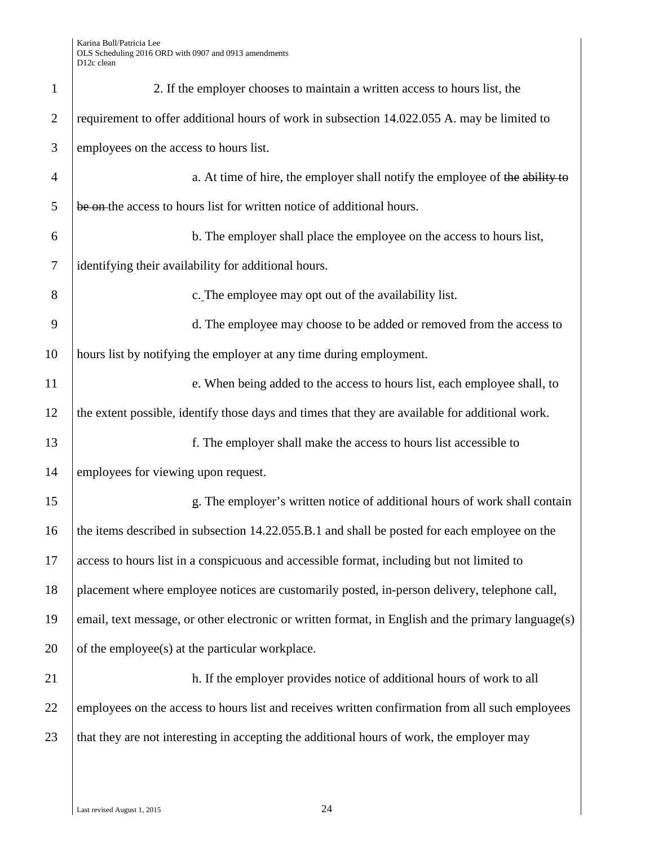| $\mathbf{1}$   | 2. If the employer chooses to maintain a written access to hours list, the                         |
|----------------|----------------------------------------------------------------------------------------------------|
| $\mathfrak{2}$ | requirement to offer additional hours of work in subsection 14.022.055 A. may be limited to        |
| 3              | employees on the access to hours list.                                                             |
| $\overline{4}$ | a. At time of hire, the employer shall notify the employee of the ability to                       |
| 5              | be on the access to hours list for written notice of additional hours.                             |
| 6              | b. The employer shall place the employee on the access to hours list,                              |
| $\tau$         | identifying their availability for additional hours.                                               |
| 8              | c. The employee may opt out of the availability list.                                              |
| 9              | d. The employee may choose to be added or removed from the access to                               |
| 10             | hours list by notifying the employer at any time during employment.                                |
| 11             | e. When being added to the access to hours list, each employee shall, to                           |
| 12             | the extent possible, identify those days and times that they are available for additional work.    |
| 13             | f. The employer shall make the access to hours list accessible to                                  |
| 14             | employees for viewing upon request.                                                                |
| 15             | g. The employer's written notice of additional hours of work shall contain                         |
| 16             | the items described in subsection 14.22.055.B.1 and shall be posted for each employee on the       |
| 17             | access to hours list in a conspicuous and accessible format, including but not limited to          |
| 18             | placement where employee notices are customarily posted, in-person delivery, telephone call,       |
| 19             | email, text message, or other electronic or written format, in English and the primary language(s) |
| 20             | of the employee(s) at the particular workplace.                                                    |
| 21             | h. If the employer provides notice of additional hours of work to all                              |
| 22             | employees on the access to hours list and receives written confirmation from all such employees    |
| 23             | that they are not interesting in accepting the additional hours of work, the employer may          |
|                |                                                                                                    |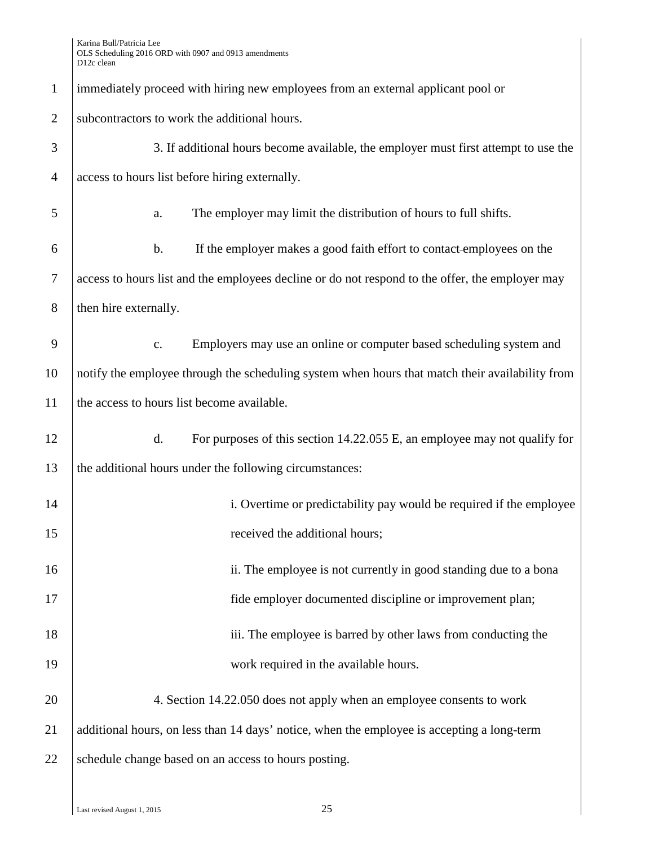| $\mathbf{1}$   | immediately proceed with hiring new employees from an external applicant pool or                |
|----------------|-------------------------------------------------------------------------------------------------|
| $\overline{2}$ | subcontractors to work the additional hours.                                                    |
| 3              | 3. If additional hours become available, the employer must first attempt to use the             |
| $\overline{4}$ | access to hours list before hiring externally.                                                  |
| 5              | The employer may limit the distribution of hours to full shifts.<br>a.                          |
| 6              | If the employer makes a good faith effort to contact-employees on the<br>$\mathbf b$ .          |
| 7              | access to hours list and the employees decline or do not respond to the offer, the employer may |
| 8              | then hire externally.                                                                           |
| 9              | Employers may use an online or computer based scheduling system and<br>$\mathbf{c}$ .           |
| 10             | notify the employee through the scheduling system when hours that match their availability from |
| 11             | the access to hours list become available.                                                      |
| 12             | For purposes of this section 14.22.055 E, an employee may not qualify for<br>d.                 |
| 13             | the additional hours under the following circumstances:                                         |
| 14             | i. Overtime or predictability pay would be required if the employee                             |
| 15             | received the additional hours;                                                                  |
| 16             | ii. The employee is not currently in good standing due to a bona                                |
| 17             | fide employer documented discipline or improvement plan;                                        |
| 18             | iii. The employee is barred by other laws from conducting the                                   |
| 19             | work required in the available hours.                                                           |
| 20             | 4. Section 14.22.050 does not apply when an employee consents to work                           |
| 21             | additional hours, on less than 14 days' notice, when the employee is accepting a long-term      |
| 22             | schedule change based on an access to hours posting.                                            |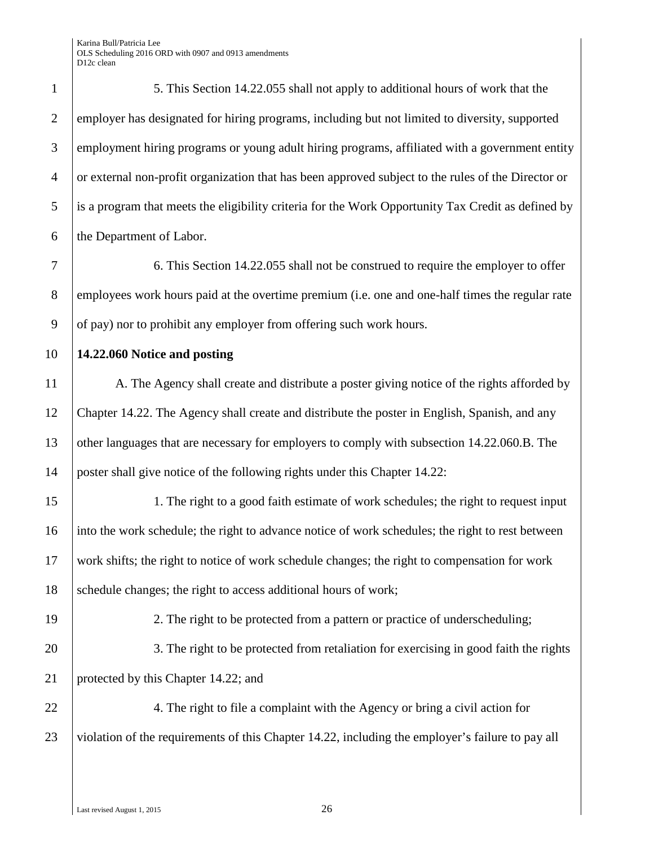1 5. This Section 14.22.055 shall not apply to additional hours of work that the 2 employer has designated for hiring programs, including but not limited to diversity, supported 3 employment hiring programs or young adult hiring programs, affiliated with a government entity 4 or external non-profit organization that has been approved subject to the rules of the Director or 5 is a program that meets the eligibility criteria for the Work Opportunity Tax Credit as defined by 6 the Department of Labor. 7 6. This Section 14.22.055 shall not be construed to require the employer to offer 8 employees work hours paid at the overtime premium (i.e. one and one-half times the regular rate 9 of pay) nor to prohibit any employer from offering such work hours. 10 **14.22.060 Notice and posting** 11 A. The Agency shall create and distribute a poster giving notice of the rights afforded by 12 Chapter 14.22. The Agency shall create and distribute the poster in English, Spanish, and any 13 other languages that are necessary for employers to comply with subsection 14.22.060.B. The 14 poster shall give notice of the following rights under this Chapter 14.22: 15 1. The right to a good faith estimate of work schedules; the right to request input 16 into the work schedule; the right to advance notice of work schedules; the right to rest between 17 work shifts; the right to notice of work schedule changes; the right to compensation for work 18 Schedule changes; the right to access additional hours of work; 19 2. The right to be protected from a pattern or practice of underscheduling; 20 3. The right to be protected from retaliation for exercising in good faith the rights 21 protected by this Chapter 14.22; and 22 4. The right to file a complaint with the Agency or bring a civil action for 23 violation of the requirements of this Chapter 14.22, including the employer's failure to pay all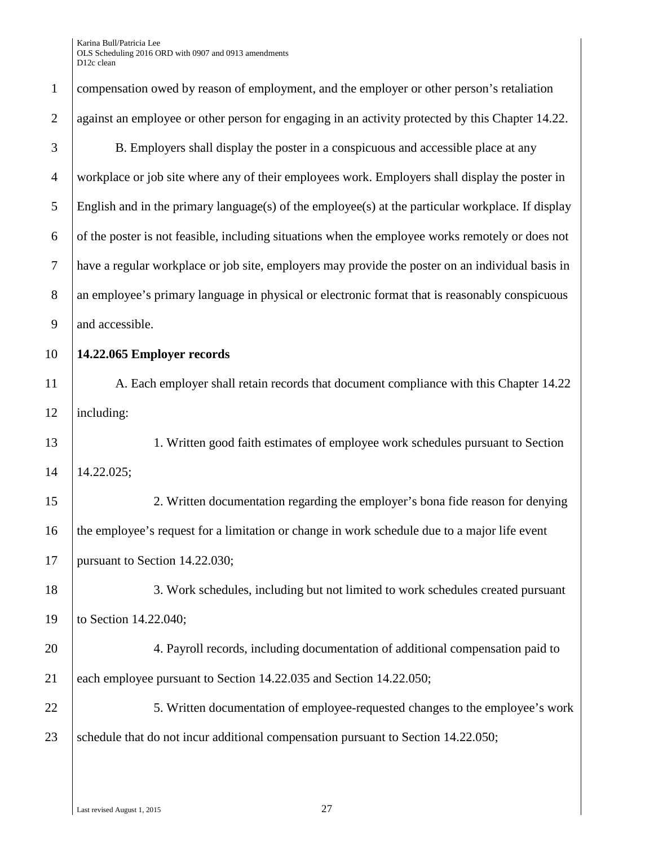| $\mathbf{1}$   | compensation owed by reason of employment, and the employer or other person's retaliation         |
|----------------|---------------------------------------------------------------------------------------------------|
| $\mathbf{2}$   | against an employee or other person for engaging in an activity protected by this Chapter 14.22.  |
| 3              | B. Employers shall display the poster in a conspicuous and accessible place at any                |
| $\overline{4}$ | workplace or job site where any of their employees work. Employers shall display the poster in    |
| 5              | English and in the primary language(s) of the employee(s) at the particular workplace. If display |
| 6              | of the poster is not feasible, including situations when the employee works remotely or does not  |
| $\tau$         | have a regular workplace or job site, employers may provide the poster on an individual basis in  |
| $8\,$          | an employee's primary language in physical or electronic format that is reasonably conspicuous    |
| 9              | and accessible.                                                                                   |
| 10             | 14.22.065 Employer records                                                                        |
| 11             | A. Each employer shall retain records that document compliance with this Chapter 14.22            |
| 12             | including:                                                                                        |
| 13             | 1. Written good faith estimates of employee work schedules pursuant to Section                    |
| 14             | 14.22.025;                                                                                        |
| 15             | 2. Written documentation regarding the employer's bona fide reason for denying                    |
| 16             | the employee's request for a limitation or change in work schedule due to a major life event      |
| 17             | pursuant to Section 14.22.030;                                                                    |
| 18             | 3. Work schedules, including but not limited to work schedules created pursuant                   |
| 19             | to Section 14.22.040;                                                                             |
| 20             | 4. Payroll records, including documentation of additional compensation paid to                    |
| 21             | each employee pursuant to Section 14.22.035 and Section 14.22.050;                                |
| 22             | 5. Written documentation of employee-requested changes to the employee's work                     |
| 23             | schedule that do not incur additional compensation pursuant to Section 14.22.050;                 |
|                |                                                                                                   |
|                |                                                                                                   |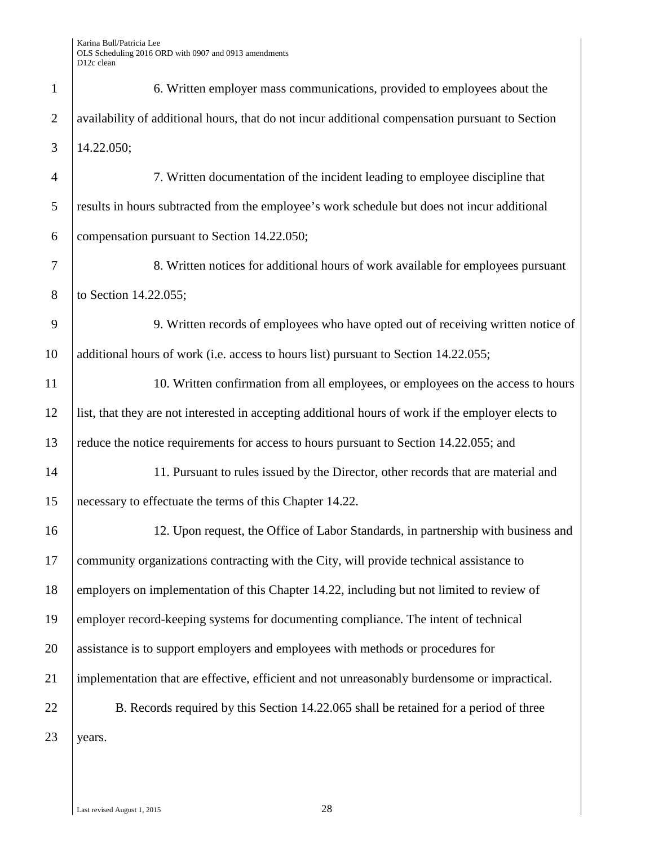| $\mathbf{1}$   | 6. Written employer mass communications, provided to employees about the                           |
|----------------|----------------------------------------------------------------------------------------------------|
| $\overline{2}$ | availability of additional hours, that do not incur additional compensation pursuant to Section    |
| 3              | 14.22.050;                                                                                         |
| $\overline{4}$ | 7. Written documentation of the incident leading to employee discipline that                       |
| 5              | results in hours subtracted from the employee's work schedule but does not incur additional        |
| 6              | compensation pursuant to Section 14.22.050;                                                        |
| 7              | 8. Written notices for additional hours of work available for employees pursuant                   |
| 8              | to Section 14.22.055;                                                                              |
| 9              | 9. Written records of employees who have opted out of receiving written notice of                  |
| 10             | additional hours of work (i.e. access to hours list) pursuant to Section 14.22.055;                |
| 11             | 10. Written confirmation from all employees, or employees on the access to hours                   |
| 12             | list, that they are not interested in accepting additional hours of work if the employer elects to |
| 13             | reduce the notice requirements for access to hours pursuant to Section 14.22.055; and              |
| 14             | 11. Pursuant to rules issued by the Director, other records that are material and                  |
| 15             | necessary to effectuate the terms of this Chapter 14.22.                                           |
| 16             | 12. Upon request, the Office of Labor Standards, in partnership with business and                  |
| 17             | community organizations contracting with the City, will provide technical assistance to            |
| 18             | employers on implementation of this Chapter 14.22, including but not limited to review of          |
| 19             | employer record-keeping systems for documenting compliance. The intent of technical                |
| 20             | assistance is to support employers and employees with methods or procedures for                    |
| 21             | implementation that are effective, efficient and not unreasonably burdensome or impractical.       |
| 22             | B. Records required by this Section 14.22.065 shall be retained for a period of three              |
| 23             | years.                                                                                             |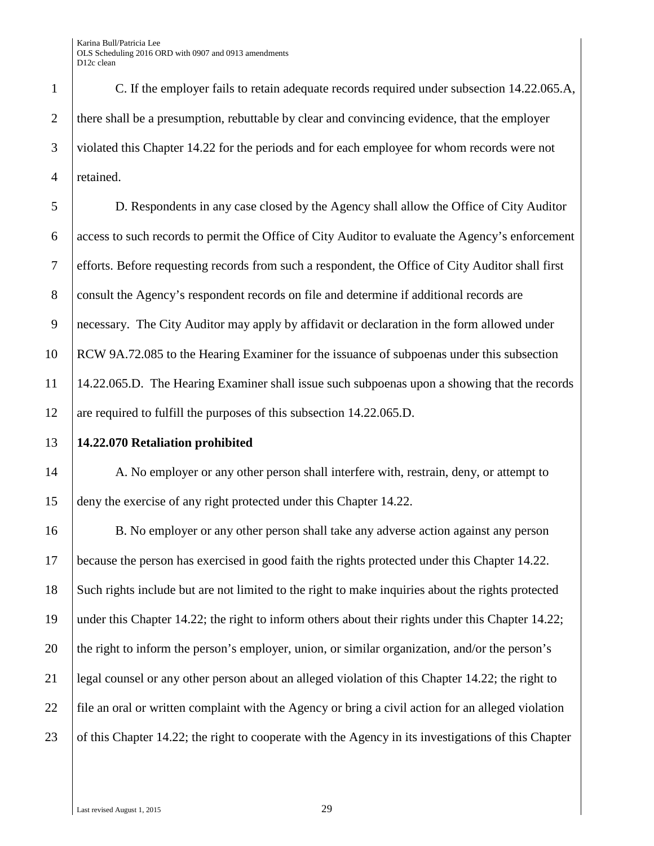C. If the employer fails to retain adequate records required under subsection 14.22.065.A, 2 there shall be a presumption, rebuttable by clear and convincing evidence, that the employer violated this Chapter 14.22 for the periods and for each employee for whom records were not retained.

 D. Respondents in any case closed by the Agency shall allow the Office of City Auditor access to such records to permit the Office of City Auditor to evaluate the Agency's enforcement efforts. Before requesting records from such a respondent, the Office of City Auditor shall first 8 consult the Agency's respondent records on file and determine if additional records are necessary. The City Auditor may apply by affidavit or declaration in the form allowed under RCW 9A.72.085 to the Hearing Examiner for the issuance of subpoenas under this subsection 14.22.065.D. The Hearing Examiner shall issue such subpoenas upon a showing that the records 12 are required to fulfill the purposes of this subsection 14.22.065.D.

#### **14.22.070 Retaliation prohibited**

14 A. No employer or any other person shall interfere with, restrain, deny, or attempt to deny the exercise of any right protected under this Chapter 14.22.

 B. No employer or any other person shall take any adverse action against any person because the person has exercised in good faith the rights protected under this Chapter 14.22. Such rights include but are not limited to the right to make inquiries about the rights protected under this Chapter 14.22; the right to inform others about their rights under this Chapter 14.22; 20 the right to inform the person's employer, union, or similar organization, and/or the person's legal counsel or any other person about an alleged violation of this Chapter 14.22; the right to file an oral or written complaint with the Agency or bring a civil action for an alleged violation 23 of this Chapter 14.22; the right to cooperate with the Agency in its investigations of this Chapter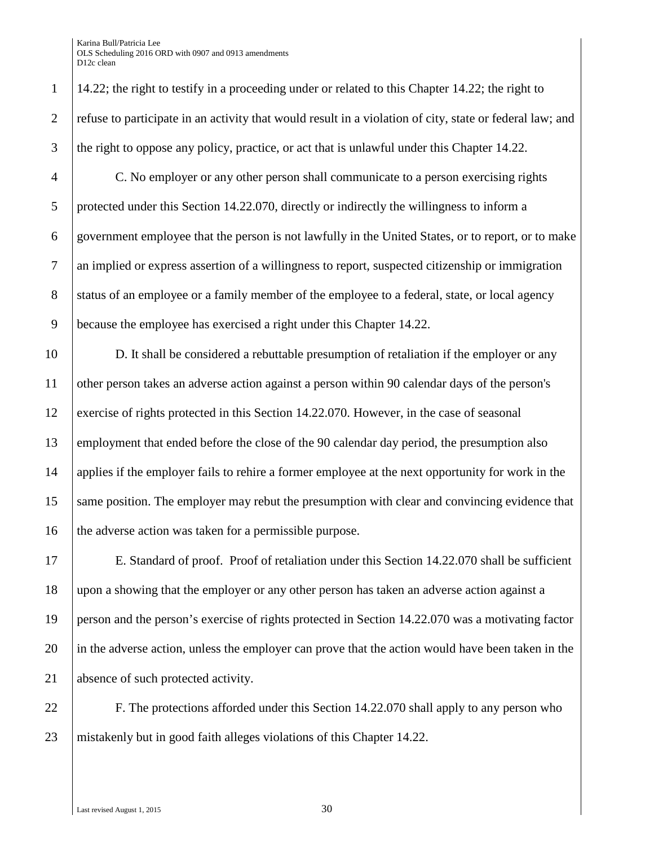1 | 14.22; the right to testify in a proceeding under or related to this Chapter 14.22; the right to 2 refuse to participate in an activity that would result in a violation of city, state or federal law; and 3 the right to oppose any policy, practice, or act that is unlawful under this Chapter 14.22.

 C. No employer or any other person shall communicate to a person exercising rights protected under this Section 14.22.070, directly or indirectly the willingness to inform a government employee that the person is not lawfully in the United States, or to report, or to make an implied or express assertion of a willingness to report, suspected citizenship or immigration 8 status of an employee or a family member of the employee to a federal, state, or local agency because the employee has exercised a right under this Chapter 14.22.

10 D. It shall be considered a rebuttable presumption of retaliation if the employer or any 11 other person takes an adverse action against a person within 90 calendar days of the person's 12 exercise of rights protected in this Section 14.22.070. However, in the case of seasonal 13 employment that ended before the close of the 90 calendar day period, the presumption also 14 applies if the employer fails to rehire a former employee at the next opportunity for work in the 15 same position. The employer may rebut the presumption with clear and convincing evidence that 16 the adverse action was taken for a permissible purpose.

17 E. Standard of proof. Proof of retaliation under this Section 14.22.070 shall be sufficient 18 upon a showing that the employer or any other person has taken an adverse action against a 19 person and the person's exercise of rights protected in Section 14.22.070 was a motivating factor 20 in the adverse action, unless the employer can prove that the action would have been taken in the 21 absence of such protected activity.

22 F. The protections afforded under this Section 14.22.070 shall apply to any person who 23 mistakenly but in good faith alleges violations of this Chapter 14.22.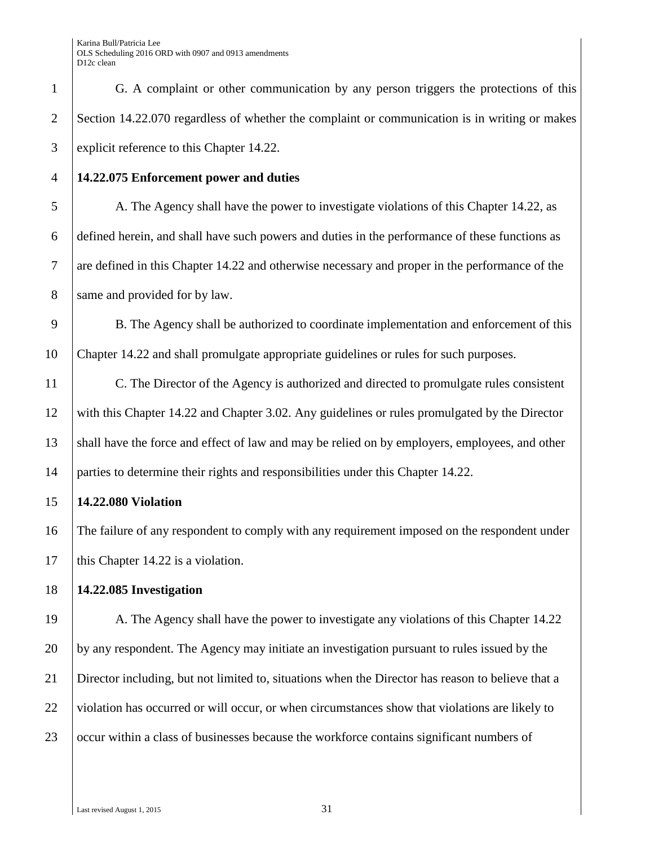G. A complaint or other communication by any person triggers the protections of this Section 14.22.070 regardless of whether the complaint or communication is in writing or makes explicit reference to this Chapter 14.22.

#### **14.22.075 Enforcement power and duties**

5 A. The Agency shall have the power to investigate violations of this Chapter 14.22, as defined herein, and shall have such powers and duties in the performance of these functions as are defined in this Chapter 14.22 and otherwise necessary and proper in the performance of the 8 same and provided for by law.

 B. The Agency shall be authorized to coordinate implementation and enforcement of this Chapter 14.22 and shall promulgate appropriate guidelines or rules for such purposes.

 C. The Director of the Agency is authorized and directed to promulgate rules consistent with this Chapter 14.22 and Chapter 3.02. Any guidelines or rules promulgated by the Director shall have the force and effect of law and may be relied on by employers, employees, and other parties to determine their rights and responsibilities under this Chapter 14.22.

### **14.22.080 Violation**

 The failure of any respondent to comply with any requirement imposed on the respondent under 17 this Chapter 14.22 is a violation.

### **14.22.085 Investigation**

19 A. The Agency shall have the power to investigate any violations of this Chapter 14.22 by any respondent. The Agency may initiate an investigation pursuant to rules issued by the Director including, but not limited to, situations when the Director has reason to believe that a 22 violation has occurred or will occur, or when circumstances show that violations are likely to 23 occur within a class of businesses because the workforce contains significant numbers of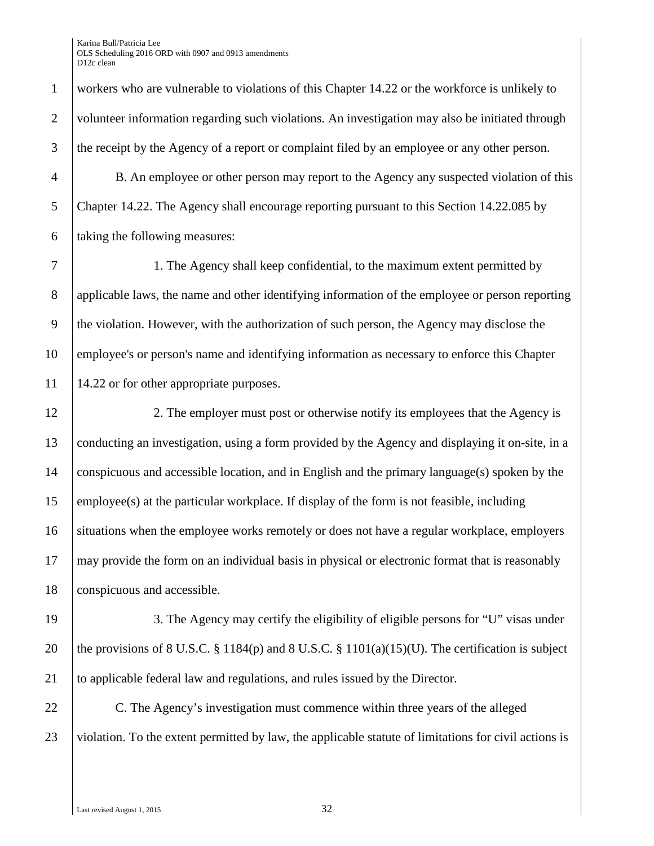1 workers who are vulnerable to violations of this Chapter 14.22 or the workforce is unlikely to 2 volunteer information regarding such violations. An investigation may also be initiated through 3 the receipt by the Agency of a report or complaint filed by an employee or any other person.

4 B. An employee or other person may report to the Agency any suspected violation of this 5 Chapter 14.22. The Agency shall encourage reporting pursuant to this Section 14.22.085 by 6  $\theta$  taking the following measures:

7 1. The Agency shall keep confidential, to the maximum extent permitted by 8 applicable laws, the name and other identifying information of the employee or person reporting 9 the violation. However, with the authorization of such person, the Agency may disclose the 10 employee's or person's name and identifying information as necessary to enforce this Chapter 11 | 14.22 or for other appropriate purposes.

12 2. The employer must post or otherwise notify its employees that the Agency is conducting an investigation, using a form provided by the Agency and displaying it on-site, in a conspicuous and accessible location, and in English and the primary language(s) spoken by the employee(s) at the particular workplace. If display of the form is not feasible, including 16 Situations when the employee works remotely or does not have a regular workplace, employers may provide the form on an individual basis in physical or electronic format that is reasonably conspicuous and accessible.

19 3. The Agency may certify the eligibility of eligible persons for "U" visas under 20 the provisions of 8 U.S.C. § 1184(p) and 8 U.S.C. § 1101(a)(15)(U). The certification is subject 21 to applicable federal law and regulations, and rules issued by the Director.

22 C. The Agency's investigation must commence within three years of the alleged 23 violation. To the extent permitted by law, the applicable statute of limitations for civil actions is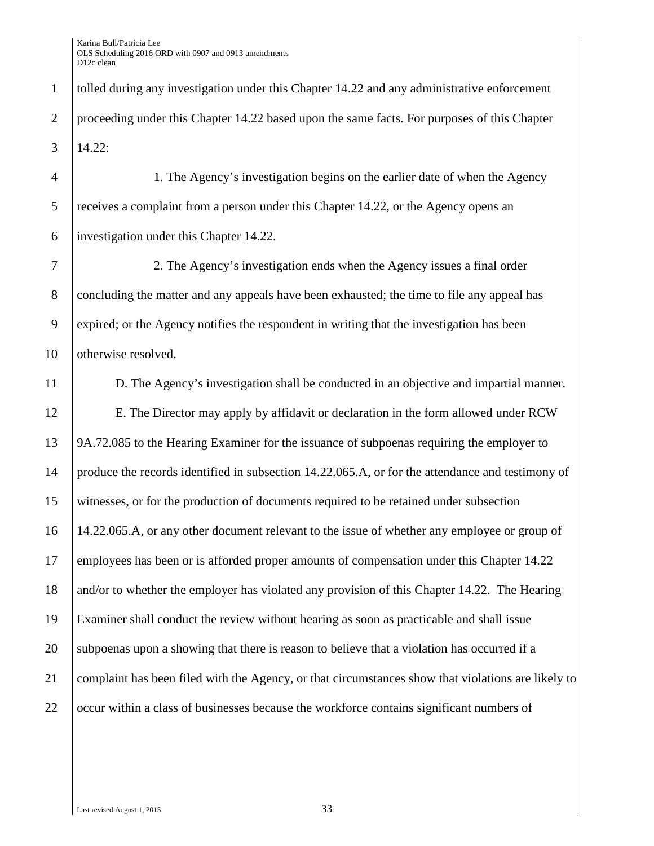1 tolled during any investigation under this Chapter 14.22 and any administrative enforcement 2 proceeding under this Chapter 14.22 based upon the same facts. For purposes of this Chapter 3 14.22:

4 1. The Agency's investigation begins on the earlier date of when the Agency 5 receives a complaint from a person under this Chapter 14.22, or the Agency opens an 6 investigation under this Chapter 14.22.

7 2. The Agency's investigation ends when the Agency issues a final order 8 concluding the matter and any appeals have been exhausted; the time to file any appeal has 9 expired; or the Agency notifies the respondent in writing that the investigation has been 10 | otherwise resolved.

 D. The Agency's investigation shall be conducted in an objective and impartial manner. E. The Director may apply by affidavit or declaration in the form allowed under RCW 9A.72.085 to the Hearing Examiner for the issuance of subpoenas requiring the employer to produce the records identified in subsection 14.22.065.A, or for the attendance and testimony of witnesses, or for the production of documents required to be retained under subsection 14.22.065.A, or any other document relevant to the issue of whether any employee or group of 17 employees has been or is afforded proper amounts of compensation under this Chapter 14.22 18 and/or to whether the employer has violated any provision of this Chapter 14.22. The Hearing Examiner shall conduct the review without hearing as soon as practicable and shall issue 20 subpoenas upon a showing that there is reason to believe that a violation has occurred if a complaint has been filed with the Agency, or that circumstances show that violations are likely to 22 occur within a class of businesses because the workforce contains significant numbers of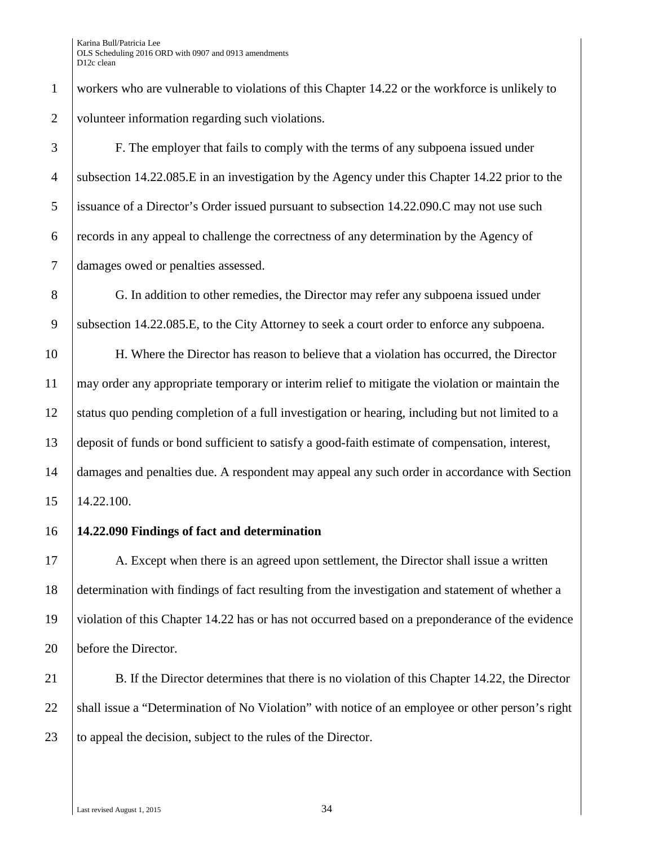1 workers who are vulnerable to violations of this Chapter 14.22 or the workforce is unlikely to 2 volunteer information regarding such violations.

 F. The employer that fails to comply with the terms of any subpoena issued under subsection 14.22.085.E in an investigation by the Agency under this Chapter 14.22 prior to the issuance of a Director's Order issued pursuant to subsection 14.22.090.C may not use such records in any appeal to challenge the correctness of any determination by the Agency of damages owed or penalties assessed.

8 G. In addition to other remedies, the Director may refer any subpoena issued under 9 Subsection 14.22.085.E, to the City Attorney to seek a court order to enforce any subpoena.

 H. Where the Director has reason to believe that a violation has occurred, the Director may order any appropriate temporary or interim relief to mitigate the violation or maintain the status quo pending completion of a full investigation or hearing, including but not limited to a deposit of funds or bond sufficient to satisfy a good-faith estimate of compensation, interest, damages and penalties due. A respondent may appeal any such order in accordance with Section 14.22.100.

16 **14.22.090 Findings of fact and determination**

17 A. Except when there is an agreed upon settlement, the Director shall issue a written 18 determination with findings of fact resulting from the investigation and statement of whether a 19 violation of this Chapter 14.22 has or has not occurred based on a preponderance of the evidence 20 before the Director.

21 B. If the Director determines that there is no violation of this Chapter 14.22, the Director 22 Shall issue a "Determination of No Violation" with notice of an employee or other person's right 23 to appeal the decision, subject to the rules of the Director.

Last revised August 1, 2015 34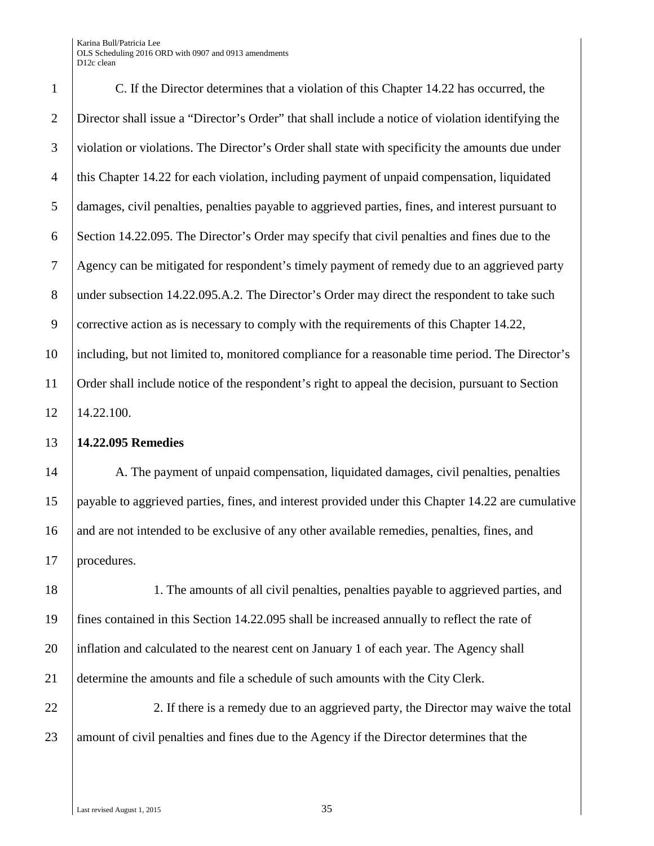C. If the Director determines that a violation of this Chapter 14.22 has occurred, the Director shall issue a "Director's Order" that shall include a notice of violation identifying the violation or violations. The Director's Order shall state with specificity the amounts due under this Chapter 14.22 for each violation, including payment of unpaid compensation, liquidated damages, civil penalties, penalties payable to aggrieved parties, fines, and interest pursuant to Section 14.22.095. The Director's Order may specify that civil penalties and fines due to the Agency can be mitigated for respondent's timely payment of remedy due to an aggrieved party 8 under subsection 14.22.095.A.2. The Director's Order may direct the respondent to take such 9 corrective action as is necessary to comply with the requirements of this Chapter 14.22, including, but not limited to, monitored compliance for a reasonable time period. The Director's Order shall include notice of the respondent's right to appeal the decision, pursuant to Section 14.22.100. **14.22.095 Remedies** 14 A. The payment of unpaid compensation, liquidated damages, civil penalties, penalties

15 payable to aggrieved parties, fines, and interest provided under this Chapter 14.22 are cumulative 16 and are not intended to be exclusive of any other available remedies, penalties, fines, and 17 | procedures.

18 18 1. The amounts of all civil penalties, penalties payable to aggrieved parties, and fines contained in this Section 14.22.095 shall be increased annually to reflect the rate of inflation and calculated to the nearest cent on January 1 of each year. The Agency shall determine the amounts and file a schedule of such amounts with the City Clerk.

22 2. If there is a remedy due to an aggrieved party, the Director may waive the total 23 amount of civil penalties and fines due to the Agency if the Director determines that the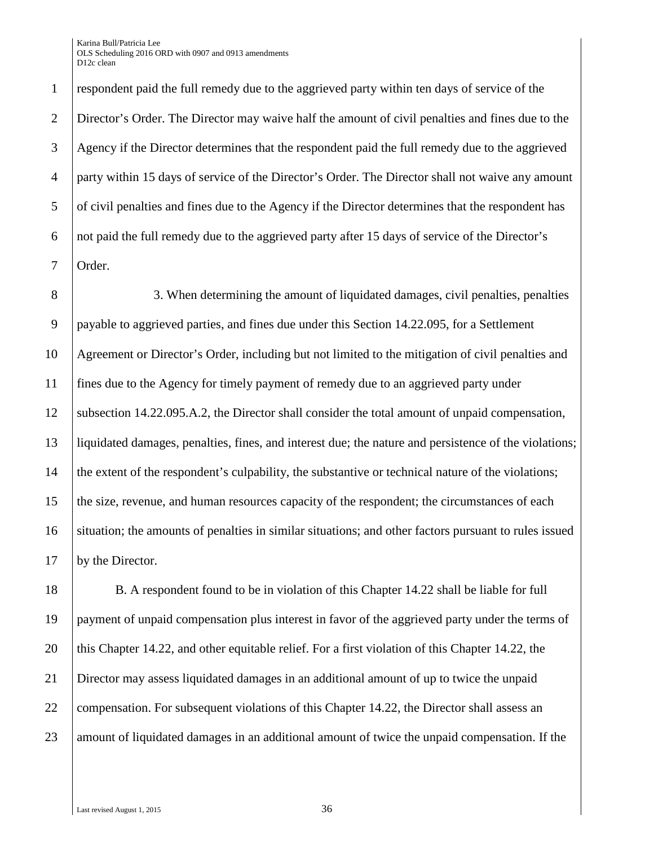respondent paid the full remedy due to the aggrieved party within ten days of service of the Director's Order. The Director may waive half the amount of civil penalties and fines due to the Agency if the Director determines that the respondent paid the full remedy due to the aggrieved party within 15 days of service of the Director's Order. The Director shall not waive any amount of civil penalties and fines due to the Agency if the Director determines that the respondent has not paid the full remedy due to the aggrieved party after 15 days of service of the Director's Order.

 3. When determining the amount of liquidated damages, civil penalties, penalties payable to aggrieved parties, and fines due under this Section 14.22.095, for a Settlement Agreement or Director's Order, including but not limited to the mitigation of civil penalties and fines due to the Agency for timely payment of remedy due to an aggrieved party under subsection 14.22.095.A.2, the Director shall consider the total amount of unpaid compensation, liquidated damages, penalties, fines, and interest due; the nature and persistence of the violations; 14 the extent of the respondent's culpability, the substantive or technical nature of the violations; the size, revenue, and human resources capacity of the respondent; the circumstances of each situation; the amounts of penalties in similar situations; and other factors pursuant to rules issued by the Director.

18 B. A respondent found to be in violation of this Chapter 14.22 shall be liable for full payment of unpaid compensation plus interest in favor of the aggrieved party under the terms of 20 this Chapter 14.22, and other equitable relief. For a first violation of this Chapter 14.22, the Director may assess liquidated damages in an additional amount of up to twice the unpaid 22 compensation. For subsequent violations of this Chapter 14.22, the Director shall assess an 23 amount of liquidated damages in an additional amount of twice the unpaid compensation. If the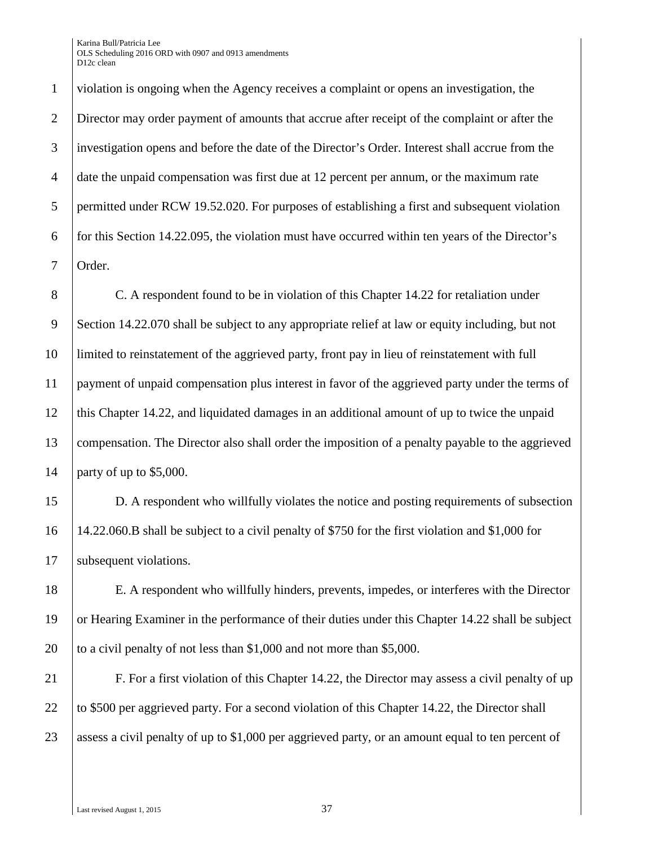violation is ongoing when the Agency receives a complaint or opens an investigation, the Director may order payment of amounts that accrue after receipt of the complaint or after the investigation opens and before the date of the Director's Order. Interest shall accrue from the date the unpaid compensation was first due at 12 percent per annum, or the maximum rate permitted under RCW 19.52.020. For purposes of establishing a first and subsequent violation for this Section 14.22.095, the violation must have occurred within ten years of the Director's Order.

8 C. A respondent found to be in violation of this Chapter 14.22 for retaliation under Section 14.22.070 shall be subject to any appropriate relief at law or equity including, but not limited to reinstatement of the aggrieved party, front pay in lieu of reinstatement with full payment of unpaid compensation plus interest in favor of the aggrieved party under the terms of this Chapter 14.22, and liquidated damages in an additional amount of up to twice the unpaid compensation. The Director also shall order the imposition of a penalty payable to the aggrieved party of up to \$5,000.

 D. A respondent who willfully violates the notice and posting requirements of subsection 14.22.060.B shall be subject to a civil penalty of \$750 for the first violation and \$1,000 for 17 Subsequent violations.

 E. A respondent who willfully hinders, prevents, impedes, or interferes with the Director or Hearing Examiner in the performance of their duties under this Chapter 14.22 shall be subject 20 to a civil penalty of not less than \$1,000 and not more than \$5,000.

 F. For a first violation of this Chapter 14.22, the Director may assess a civil penalty of up 22 to \$500 per aggrieved party. For a second violation of this Chapter 14.22, the Director shall 23 assess a civil penalty of up to \$1,000 per aggrieved party, or an amount equal to ten percent of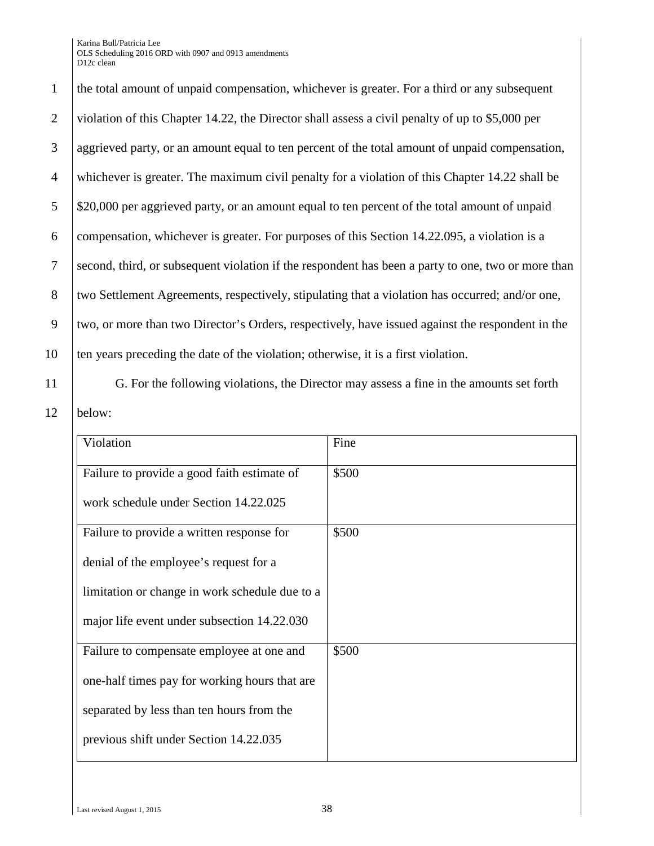1 the total amount of unpaid compensation, whichever is greater. For a third or any subsequent 2 violation of this Chapter 14.22, the Director shall assess a civil penalty of up to \$5,000 per 3 aggrieved party, or an amount equal to ten percent of the total amount of unpaid compensation, 4 whichever is greater. The maximum civil penalty for a violation of this Chapter 14.22 shall be 5 \ \ \ \ \$20,000 per aggrieved party, or an amount equal to ten percent of the total amount of unpaid 6 compensation, whichever is greater. For purposes of this Section 14.22.095, a violation is a 7 second, third, or subsequent violation if the respondent has been a party to one, two or more than 8 two Settlement Agreements, respectively, stipulating that a violation has occurred; and/or one, 9 two, or more than two Director's Orders, respectively, have issued against the respondent in the 10 ten years preceding the date of the violation; otherwise, it is a first violation.

11 G. For the following violations, the Director may assess a fine in the amounts set forth

12 below:

| Violation                                      | Fine  |
|------------------------------------------------|-------|
| Failure to provide a good faith estimate of    | \$500 |
| work schedule under Section 14.22.025          |       |
| Failure to provide a written response for      | \$500 |
| denial of the employee's request for a         |       |
| limitation or change in work schedule due to a |       |
| major life event under subsection 14.22.030    |       |
| Failure to compensate employee at one and      | \$500 |
| one-half times pay for working hours that are  |       |
| separated by less than ten hours from the      |       |
| previous shift under Section 14.22.035         |       |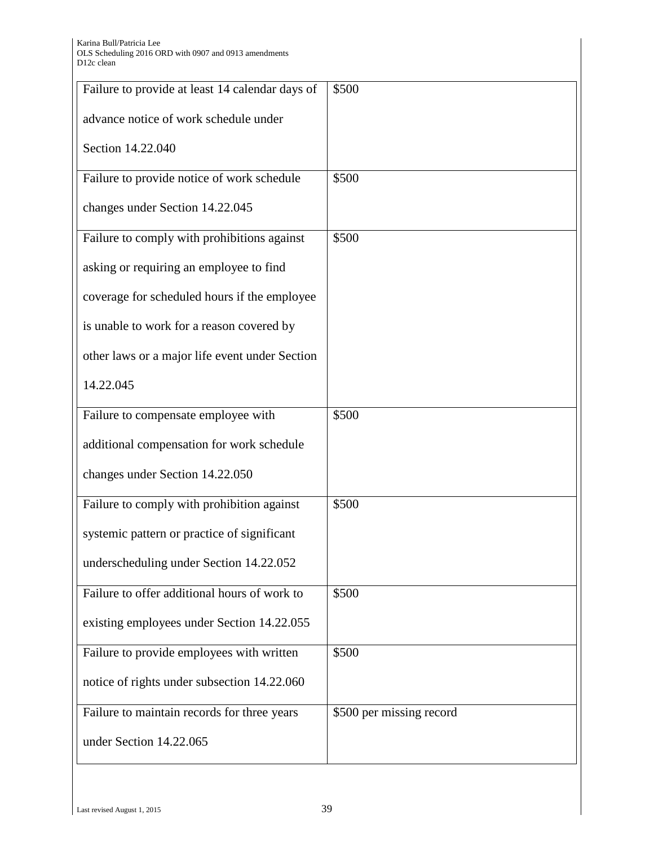| Failure to provide at least 14 calendar days of | \$500                    |
|-------------------------------------------------|--------------------------|
| advance notice of work schedule under           |                          |
| Section 14.22.040                               |                          |
| Failure to provide notice of work schedule      | \$500                    |
| changes under Section 14.22.045                 |                          |
| Failure to comply with prohibitions against     | \$500                    |
| asking or requiring an employee to find         |                          |
| coverage for scheduled hours if the employee    |                          |
| is unable to work for a reason covered by       |                          |
| other laws or a major life event under Section  |                          |
| 14.22.045                                       |                          |
| Failure to compensate employee with             | \$500                    |
| additional compensation for work schedule       |                          |
| changes under Section 14.22.050                 |                          |
| Failure to comply with prohibition against      | \$500                    |
| systemic pattern or practice of significant     |                          |
| underscheduling under Section 14.22.052         |                          |
| Failure to offer additional hours of work to    | \$500                    |
| existing employees under Section 14.22.055      |                          |
| Failure to provide employees with written       | \$500                    |
| notice of rights under subsection 14.22.060     |                          |
| Failure to maintain records for three years     | \$500 per missing record |
| under Section 14.22.065                         |                          |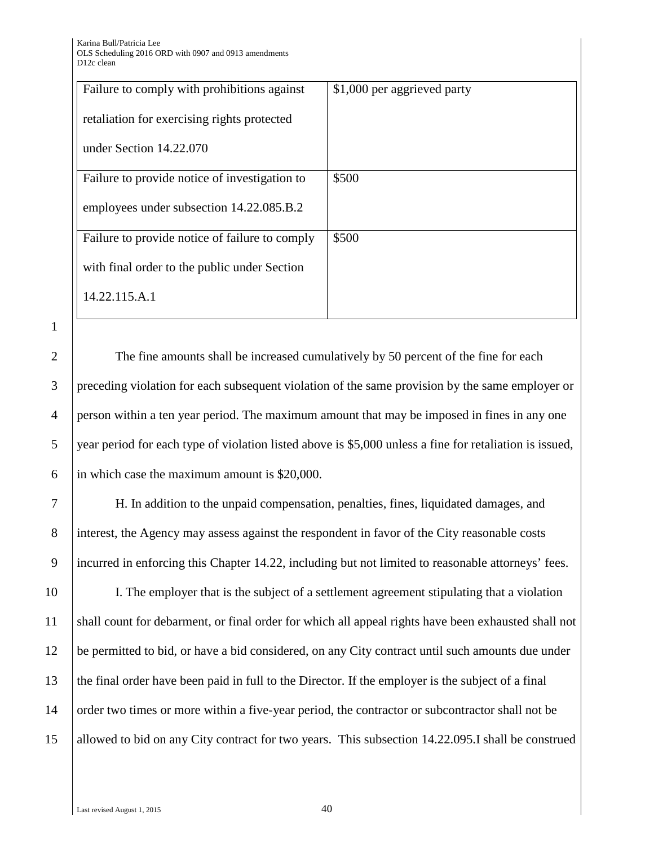| Failure to comply with prohibitions against    | \$1,000 per aggrieved party |
|------------------------------------------------|-----------------------------|
| retaliation for exercising rights protected    |                             |
| under Section 14.22.070                        |                             |
| Failure to provide notice of investigation to  | \$500                       |
| employees under subsection 14.22.085.B.2       |                             |
| Failure to provide notice of failure to comply | \$500                       |
| with final order to the public under Section   |                             |
| 14.22.115.A.1                                  |                             |

1

2 The fine amounts shall be increased cumulatively by 50 percent of the fine for each 3 preceding violation for each subsequent violation of the same provision by the same employer or 4 person within a ten year period. The maximum amount that may be imposed in fines in any one 5 year period for each type of violation listed above is \$5,000 unless a fine for retaliation is issued, 6 in which case the maximum amount is  $$20,000$ .

7 H. In addition to the unpaid compensation, penalties, fines, liquidated damages, and 8 interest, the Agency may assess against the respondent in favor of the City reasonable costs 9 incurred in enforcing this Chapter 14.22, including but not limited to reasonable attorneys' fees.

 I. The employer that is the subject of a settlement agreement stipulating that a violation shall count for debarment, or final order for which all appeal rights have been exhausted shall not be permitted to bid, or have a bid considered, on any City contract until such amounts due under the final order have been paid in full to the Director. If the employer is the subject of a final 14 order two times or more within a five-year period, the contractor or subcontractor shall not be 15 allowed to bid on any City contract for two years. This subsection 14.22.095. I shall be construed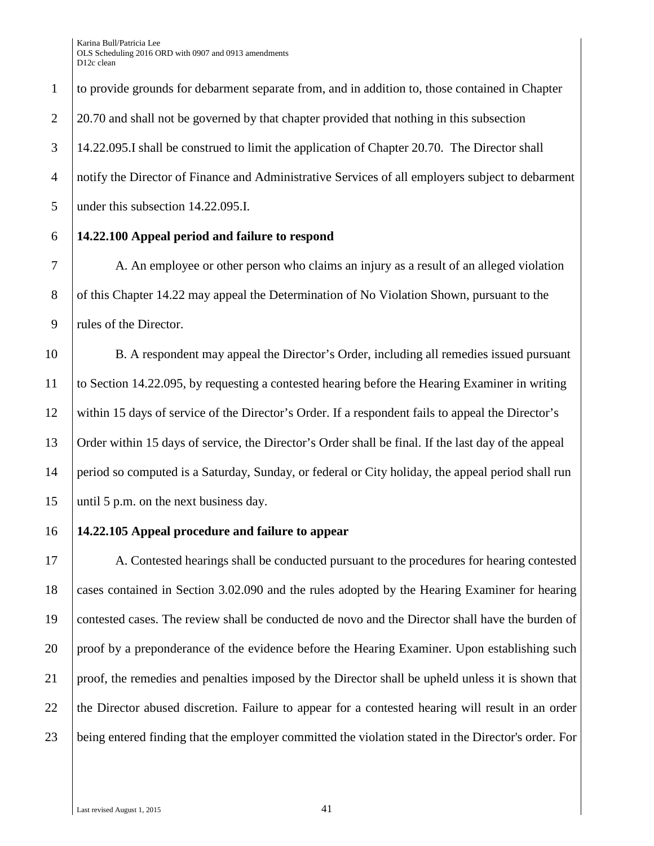to provide grounds for debarment separate from, and in addition to, those contained in Chapter 2 20.70 and shall not be governed by that chapter provided that nothing in this subsection 14.22.095.I shall be construed to limit the application of Chapter 20.70. The Director shall notify the Director of Finance and Administrative Services of all employers subject to debarment 5 under this subsection 14.22.095.I.

**14.22.100 Appeal period and failure to respond**

 A. An employee or other person who claims an injury as a result of an alleged violation 8 of this Chapter 14.22 may appeal the Determination of No Violation Shown, pursuant to the 9 | rules of the Director.

 B. A respondent may appeal the Director's Order, including all remedies issued pursuant to Section 14.22.095, by requesting a contested hearing before the Hearing Examiner in writing within 15 days of service of the Director's Order. If a respondent fails to appeal the Director's Order within 15 days of service, the Director's Order shall be final. If the last day of the appeal period so computed is a Saturday, Sunday, or federal or City holiday, the appeal period shall run until 5 p.m. on the next business day.

**14.22.105 Appeal procedure and failure to appear**

 A. Contested hearings shall be conducted pursuant to the procedures for hearing contested cases contained in Section 3.02.090 and the rules adopted by the Hearing Examiner for hearing contested cases. The review shall be conducted de novo and the Director shall have the burden of 20 proof by a preponderance of the evidence before the Hearing Examiner. Upon establishing such proof, the remedies and penalties imposed by the Director shall be upheld unless it is shown that 22 the Director abused discretion. Failure to appear for a contested hearing will result in an order being entered finding that the employer committed the violation stated in the Director's order. For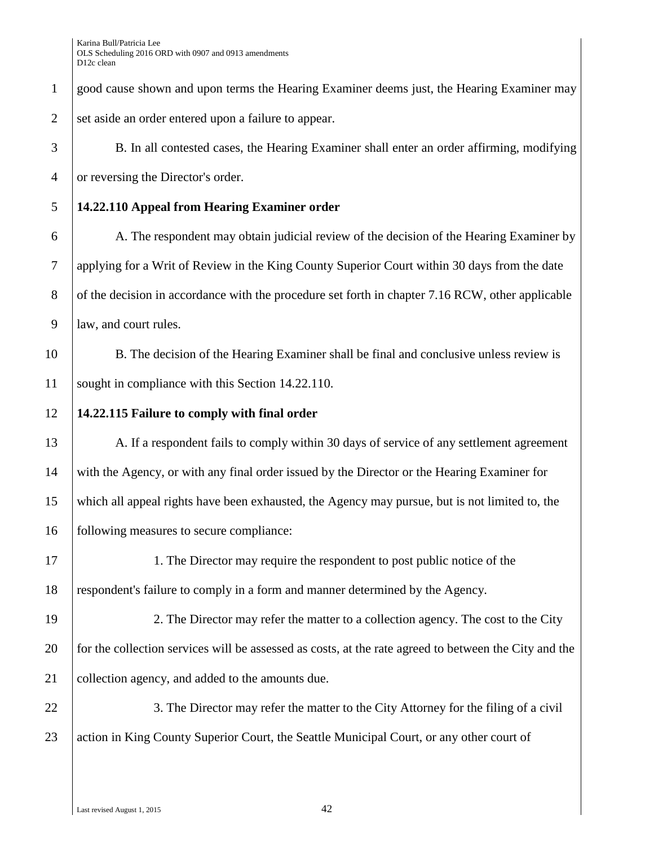good cause shown and upon terms the Hearing Examiner deems just, the Hearing Examiner may 2 set aside an order entered upon a failure to appear. B. In all contested cases, the Hearing Examiner shall enter an order affirming, modifying 4 or reversing the Director's order. **14.22.110 Appeal from Hearing Examiner order** A. The respondent may obtain judicial review of the decision of the Hearing Examiner by applying for a Writ of Review in the King County Superior Court within 30 days from the date 8 of the decision in accordance with the procedure set forth in chapter 7.16 RCW, other applicable law, and court rules. B. The decision of the Hearing Examiner shall be final and conclusive unless review is sought in compliance with this Section 14.22.110. **14.22.115 Failure to comply with final order** 13 A. If a respondent fails to comply within 30 days of service of any settlement agreement with the Agency, or with any final order issued by the Director or the Hearing Examiner for which all appeal rights have been exhausted, the Agency may pursue, but is not limited to, the following measures to secure compliance: 17 1. The Director may require the respondent to post public notice of the respondent's failure to comply in a form and manner determined by the Agency. 2. The Director may refer the matter to a collection agency. The cost to the City for the collection services will be assessed as costs, at the rate agreed to between the City and the collection agency, and added to the amounts due. 22 3. The Director may refer the matter to the City Attorney for the filing of a civil 23 action in King County Superior Court, the Seattle Municipal Court, or any other court of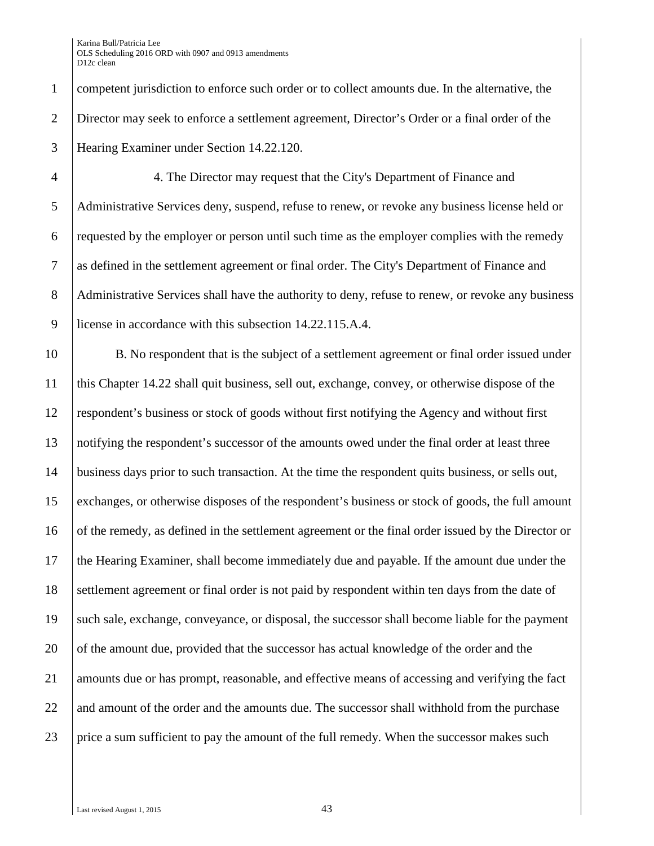competent jurisdiction to enforce such order or to collect amounts due. In the alternative, the Director may seek to enforce a settlement agreement, Director's Order or a final order of the Hearing Examiner under Section 14.22.120.

 4. The Director may request that the City's Department of Finance and Administrative Services deny, suspend, refuse to renew, or revoke any business license held or requested by the employer or person until such time as the employer complies with the remedy as defined in the settlement agreement or final order. The City's Department of Finance and 8 Administrative Services shall have the authority to deny, refuse to renew, or revoke any business license in accordance with this subsection 14.22.115.A.4.

 B. No respondent that is the subject of a settlement agreement or final order issued under this Chapter 14.22 shall quit business, sell out, exchange, convey, or otherwise dispose of the respondent's business or stock of goods without first notifying the Agency and without first notifying the respondent's successor of the amounts owed under the final order at least three business days prior to such transaction. At the time the respondent quits business, or sells out, exchanges, or otherwise disposes of the respondent's business or stock of goods, the full amount 16 of the remedy, as defined in the settlement agreement or the final order issued by the Director or the Hearing Examiner, shall become immediately due and payable. If the amount due under the 18 Settlement agreement or final order is not paid by respondent within ten days from the date of such sale, exchange, conveyance, or disposal, the successor shall become liable for the payment 20 of the amount due, provided that the successor has actual knowledge of the order and the amounts due or has prompt, reasonable, and effective means of accessing and verifying the fact 22 and amount of the order and the amounts due. The successor shall withhold from the purchase 23 price a sum sufficient to pay the amount of the full remedy. When the successor makes such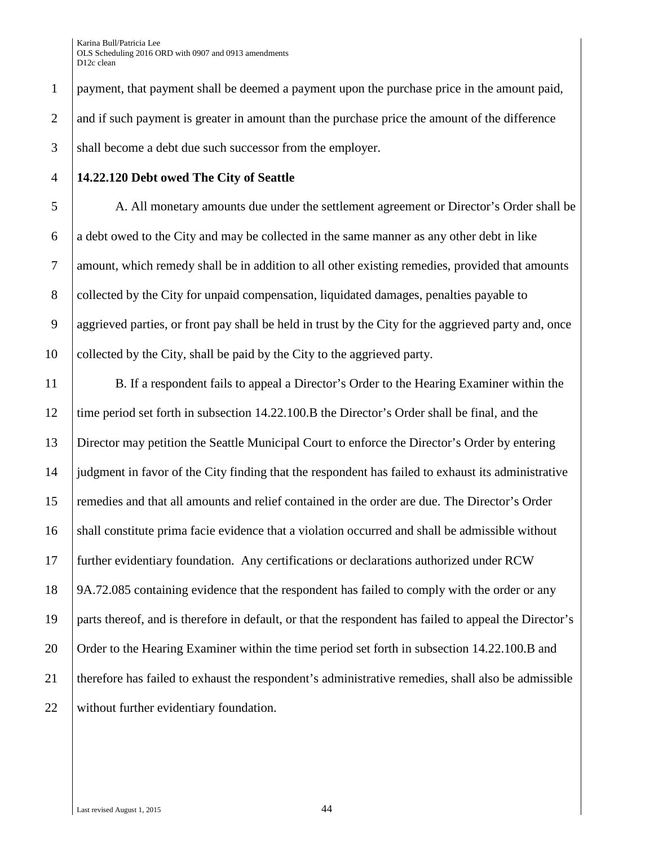payment, that payment shall be deemed a payment upon the purchase price in the amount paid, 2 and if such payment is greater in amount than the purchase price the amount of the difference 3 shall become a debt due such successor from the employer.

#### **14.22.120 Debt owed The City of Seattle**

 A. All monetary amounts due under the settlement agreement or Director's Order shall be a debt owed to the City and may be collected in the same manner as any other debt in like amount, which remedy shall be in addition to all other existing remedies, provided that amounts 8 collected by the City for unpaid compensation, liquidated damages, penalties payable to aggrieved parties, or front pay shall be held in trust by the City for the aggrieved party and, once 10 collected by the City, shall be paid by the City to the aggrieved party.

 B. If a respondent fails to appeal a Director's Order to the Hearing Examiner within the time period set forth in subsection 14.22.100.B the Director's Order shall be final, and the Director may petition the Seattle Municipal Court to enforce the Director's Order by entering judgment in favor of the City finding that the respondent has failed to exhaust its administrative remedies and that all amounts and relief contained in the order are due. The Director's Order shall constitute prima facie evidence that a violation occurred and shall be admissible without further evidentiary foundation. Any certifications or declarations authorized under RCW 9A.72.085 containing evidence that the respondent has failed to comply with the order or any parts thereof, and is therefore in default, or that the respondent has failed to appeal the Director's 20 | Order to the Hearing Examiner within the time period set forth in subsection 14.22.100.B and therefore has failed to exhaust the respondent's administrative remedies, shall also be admissible 22 without further evidentiary foundation.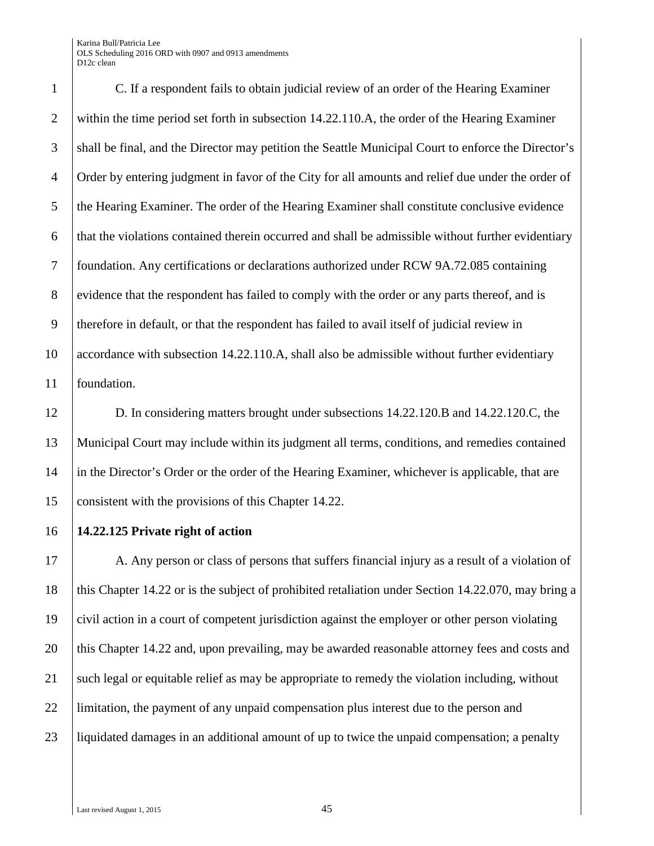C. If a respondent fails to obtain judicial review of an order of the Hearing Examiner 2 within the time period set forth in subsection 14.22.110.A, the order of the Hearing Examiner shall be final, and the Director may petition the Seattle Municipal Court to enforce the Director's Order by entering judgment in favor of the City for all amounts and relief due under the order of 5 the Hearing Examiner. The order of the Hearing Examiner shall constitute conclusive evidence that the violations contained therein occurred and shall be admissible without further evidentiary foundation. Any certifications or declarations authorized under RCW 9A.72.085 containing 8 evidence that the respondent has failed to comply with the order or any parts thereof, and is therefore in default, or that the respondent has failed to avail itself of judicial review in accordance with subsection 14.22.110.A, shall also be admissible without further evidentiary foundation.

 D. In considering matters brought under subsections 14.22.120.B and 14.22.120.C, the Municipal Court may include within its judgment all terms, conditions, and remedies contained in the Director's Order or the order of the Hearing Examiner, whichever is applicable, that are 15 consistent with the provisions of this Chapter 14.22.

#### 16 **14.22.125 Private right of action**

17 A. Any person or class of persons that suffers financial injury as a result of a violation of 18 this Chapter 14.22 or is the subject of prohibited retaliation under Section 14.22.070, may bring a 19 civil action in a court of competent jurisdiction against the employer or other person violating 20 this Chapter 14.22 and, upon prevailing, may be awarded reasonable attorney fees and costs and 21 Such legal or equitable relief as may be appropriate to remedy the violation including, without 22 limitation, the payment of any unpaid compensation plus interest due to the person and 23 liquidated damages in an additional amount of up to twice the unpaid compensation; a penalty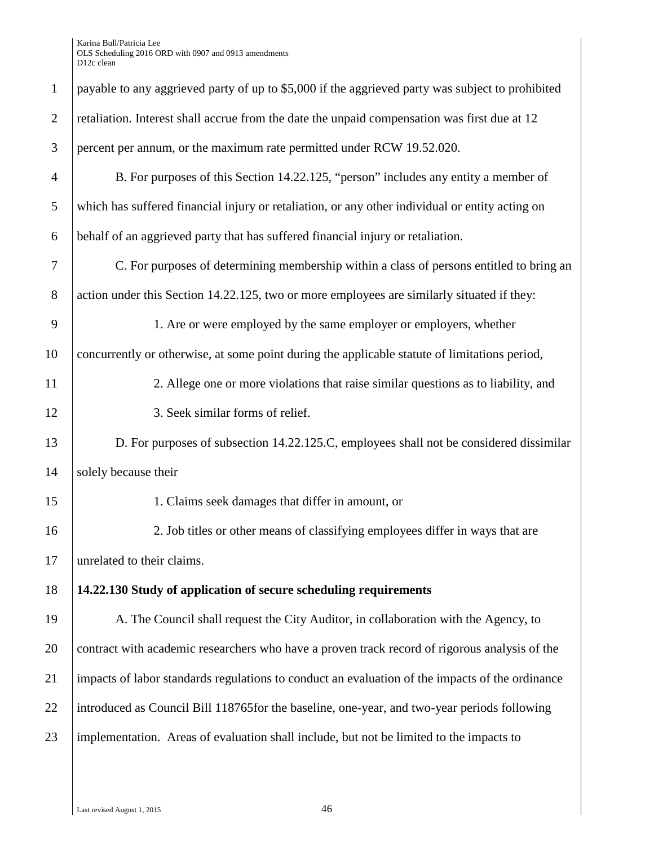| $\mathbf{1}$   | payable to any aggrieved party of up to \$5,000 if the aggrieved party was subject to prohibited |
|----------------|--------------------------------------------------------------------------------------------------|
| $\overline{2}$ | retaliation. Interest shall accrue from the date the unpaid compensation was first due at 12     |
| 3              | percent per annum, or the maximum rate permitted under RCW 19.52.020.                            |
| $\overline{4}$ | B. For purposes of this Section 14.22.125, "person" includes any entity a member of              |
| 5              | which has suffered financial injury or retaliation, or any other individual or entity acting on  |
| 6              | behalf of an aggrieved party that has suffered financial injury or retaliation.                  |
| 7              | C. For purposes of determining membership within a class of persons entitled to bring an         |
| 8              | action under this Section 14.22.125, two or more employees are similarly situated if they:       |
| 9              | 1. Are or were employed by the same employer or employers, whether                               |
| 10             | concurrently or otherwise, at some point during the applicable statute of limitations period,    |
| 11             | 2. Allege one or more violations that raise similar questions as to liability, and               |
| 12             | 3. Seek similar forms of relief.                                                                 |
| 13             | D. For purposes of subsection 14.22.125.C, employees shall not be considered dissimilar          |
| 14             | solely because their                                                                             |
| 15             | 1. Claims seek damages that differ in amount, or                                                 |
| 16             | 2. Job titles or other means of classifying employees differ in ways that are                    |
| 17             | unrelated to their claims.                                                                       |
| 18             | 14.22.130 Study of application of secure scheduling requirements                                 |
| 19             | A. The Council shall request the City Auditor, in collaboration with the Agency, to              |
| 20             | contract with academic researchers who have a proven track record of rigorous analysis of the    |
| 21             | impacts of labor standards regulations to conduct an evaluation of the impacts of the ordinance  |
| 22             | introduced as Council Bill 118765 for the baseline, one-year, and two-year periods following     |
| 23             | implementation. Areas of evaluation shall include, but not be limited to the impacts to          |
|                |                                                                                                  |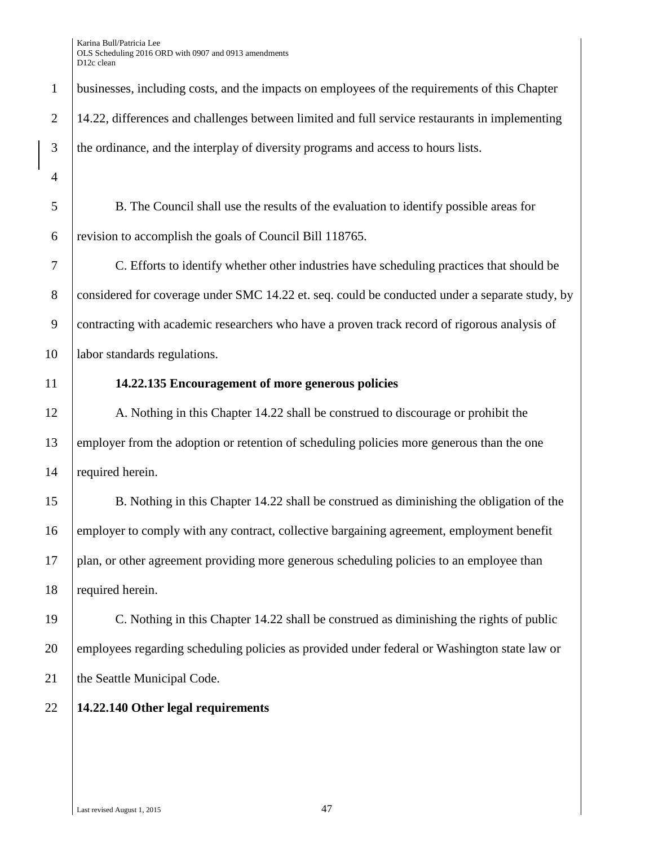businesses, including costs, and the impacts on employees of the requirements of this Chapter 14.22, differences and challenges between limited and full service restaurants in implementing the ordinance, and the interplay of diversity programs and access to hours lists.

 B. The Council shall use the results of the evaluation to identify possible areas for revision to accomplish the goals of Council Bill 118765.

 C. Efforts to identify whether other industries have scheduling practices that should be 8 considered for coverage under SMC 14.22 et. seq. could be conducted under a separate study, by contracting with academic researchers who have a proven track record of rigorous analysis of **labor standards regulations.** 

#### **14.22.135 Encouragement of more generous policies**

 A. Nothing in this Chapter 14.22 shall be construed to discourage or prohibit the employer from the adoption or retention of scheduling policies more generous than the one 14 required herein.

 B. Nothing in this Chapter 14.22 shall be construed as diminishing the obligation of the 16 employer to comply with any contract, collective bargaining agreement, employment benefit plan, or other agreement providing more generous scheduling policies to an employee than 18 | required herein.

 C. Nothing in this Chapter 14.22 shall be construed as diminishing the rights of public 20 employees regarding scheduling policies as provided under federal or Washington state law or 21 ble Seattle Municipal Code.

#### **14.22.140 Other legal requirements**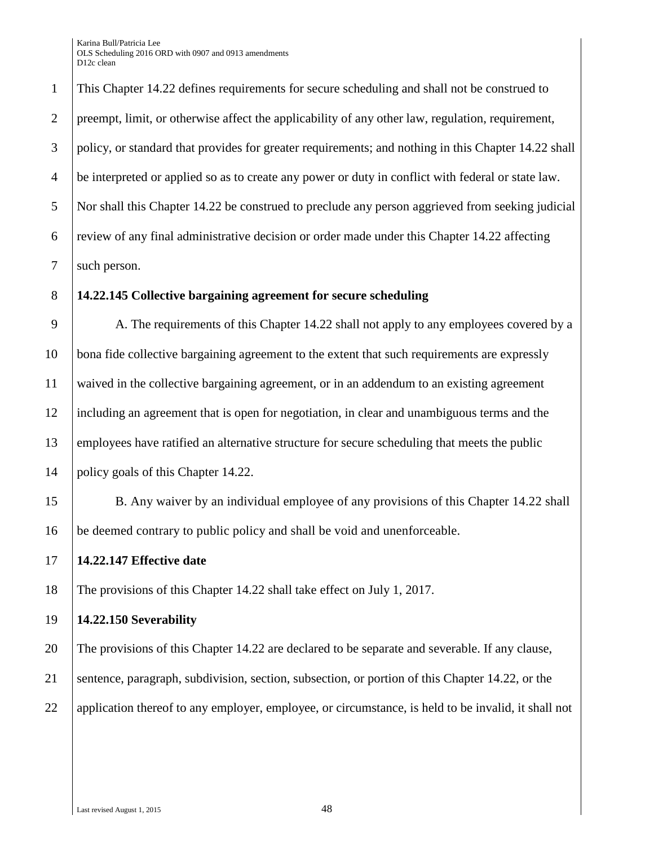This Chapter 14.22 defines requirements for secure scheduling and shall not be construed to 2 preempt, limit, or otherwise affect the applicability of any other law, regulation, requirement, policy, or standard that provides for greater requirements; and nothing in this Chapter 14.22 shall be interpreted or applied so as to create any power or duty in conflict with federal or state law. Nor shall this Chapter 14.22 be construed to preclude any person aggrieved from seeking judicial review of any final administrative decision or order made under this Chapter 14.22 affecting 7 such person.

#### 8 **14.22.145 Collective bargaining agreement for secure scheduling**

9 A. The requirements of this Chapter 14.22 shall not apply to any employees covered by a 10 bona fide collective bargaining agreement to the extent that such requirements are expressly 11 waived in the collective bargaining agreement, or in an addendum to an existing agreement 12 including an agreement that is open for negotiation, in clear and unambiguous terms and the 13 employees have ratified an alternative structure for secure scheduling that meets the public 14 policy goals of this Chapter 14.22.

15 B. Any waiver by an individual employee of any provisions of this Chapter 14.22 shall 16 be deemed contrary to public policy and shall be void and unenforceable.

17 **14.22.147 Effective date**

18 The provisions of this Chapter 14.22 shall take effect on July 1, 2017.

#### 19 **14.22.150 Severability**

20 The provisions of this Chapter 14.22 are declared to be separate and severable. If any clause, 21 Sentence, paragraph, subdivision, section, subsection, or portion of this Chapter 14.22, or the 22 application thereof to any employer, employee, or circumstance, is held to be invalid, it shall not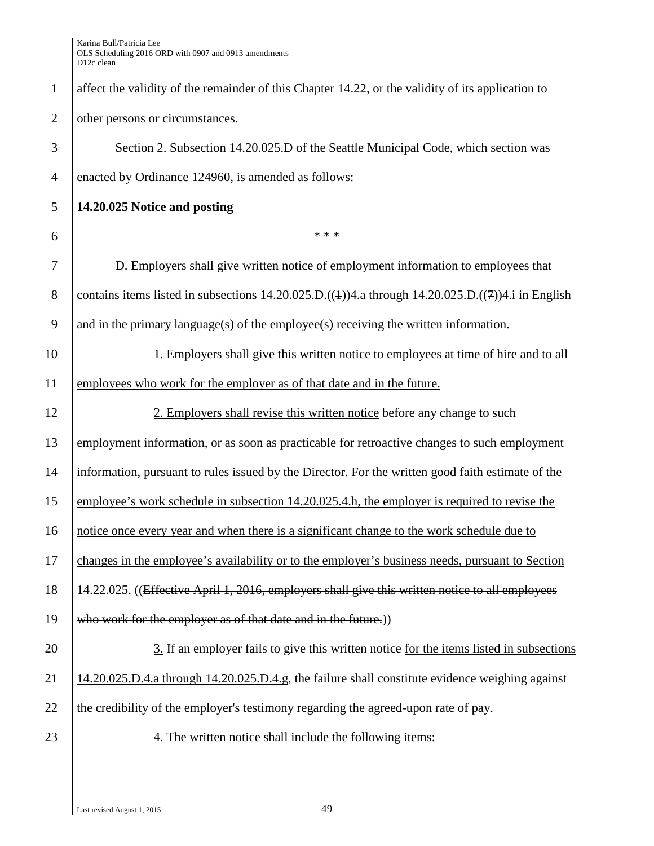1 affect the validity of the remainder of this Chapter 14.22, or the validity of its application to 2 other persons or circumstances. 3 Section 2. Subsection 14.20.025.D of the Seattle Municipal Code, which section was 4 enacted by Ordinance 124960, is amended as follows: 5 **14.20.025 Notice and posting** 6  $^*$  \* \* \* 7 D. Employers shall give written notice of employment information to employees that 8 contains items listed in subsections  $14.20.025 \text{.}D\text{.}((4))4$ .a through  $14.20.025 \text{.}D\text{.}((7))4$ .i in English 9 and in the primary language(s) of the employee(s) receiving the written information. 10 1. Employers shall give this written notice to employees at time of hire and to all 11 employees who work for the employer as of that date and in the future. 12 2. Employers shall revise this written notice before any change to such 13 employment information, or as soon as practicable for retroactive changes to such employment 14 information, pursuant to rules issued by the Director. For the written good faith estimate of the 15 employee's work schedule in subsection 14.20.025.4.h, the employer is required to revise the 16 notice once every year and when there is a significant change to the work schedule due to 17 changes in the employee's availability or to the employer's business needs, pursuant to Section 18 | 14.22.025. ((Effective April 1, 2016, employers shall give this written notice to all employees 19 who work for the employer as of that date and in the future.) 20 3. If an employer fails to give this written notice for the items listed in subsections 21 14.20.025.D.4.a through 14.20.025.D.4.g, the failure shall constitute evidence weighing against  $22$  the credibility of the employer's testimony regarding the agreed-upon rate of pay. 23 4. The written notice shall include the following items: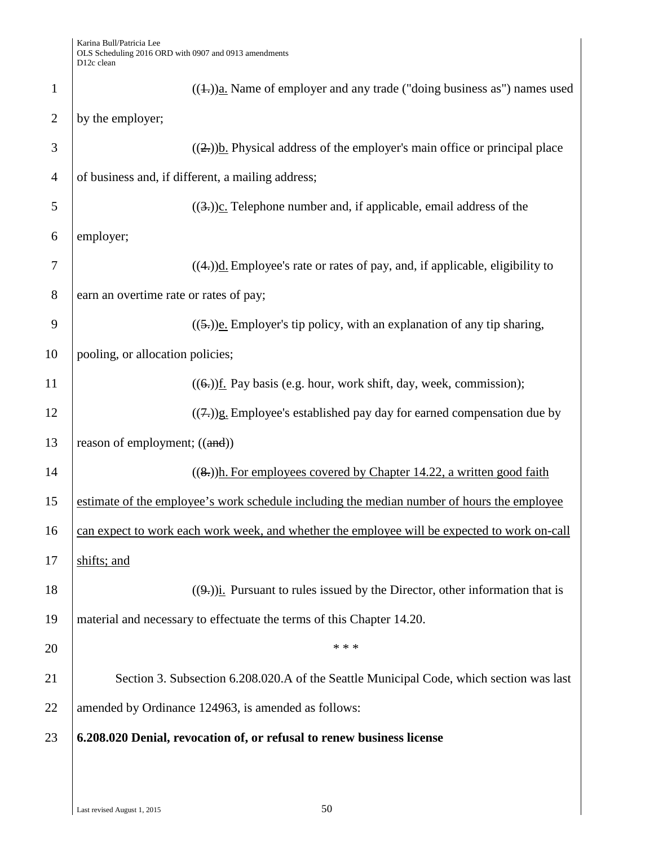| $\mathbf{1}$   | $((\text{+}))$ <sup>a</sup> . Name of employer and any trade ("doing business as") names used |  |
|----------------|-----------------------------------------------------------------------------------------------|--|
| $\overline{2}$ | by the employer;                                                                              |  |
| 3              | $((2))$ . Physical address of the employer's main office or principal place                   |  |
| $\overline{4}$ | of business and, if different, a mailing address;                                             |  |
| 5              | $((3))$ . Telephone number and, if applicable, email address of the                           |  |
| 6              | employer;                                                                                     |  |
| $\tau$         | $((4))$ <u>d.</u> Employee's rate or rates of pay, and, if applicable, eligibility to         |  |
| 8              | earn an overtime rate or rates of pay;                                                        |  |
| 9              | $((5))$ <sub>e</sub> . Employer's tip policy, with an explanation of any tip sharing,         |  |
| 10             | pooling, or allocation policies;                                                              |  |
| 11             | $((6))$ f. Pay basis (e.g. hour, work shift, day, week, commission);                          |  |
| 12             | $((7))$ g. Employee's established pay day for earned compensation due by                      |  |
| 13             | reason of employment; ((and))                                                                 |  |
| 14             | $((8))$ h. For employees covered by Chapter 14.22, a written good faith                       |  |
| 15             | estimate of the employee's work schedule including the median number of hours the employee    |  |
| 16             | can expect to work each work week, and whether the employee will be expected to work on-call  |  |
| 17             | shifts; and                                                                                   |  |
| 18             | $((9))$ i. Pursuant to rules issued by the Director, other information that is                |  |
| 19             | material and necessary to effectuate the terms of this Chapter 14.20.                         |  |
| 20             | * * *                                                                                         |  |
| 21             | Section 3. Subsection 6.208.020.A of the Seattle Municipal Code, which section was last       |  |
| 22             | amended by Ordinance 124963, is amended as follows:                                           |  |
| 23             | 6.208.020 Denial, revocation of, or refusal to renew business license                         |  |
|                |                                                                                               |  |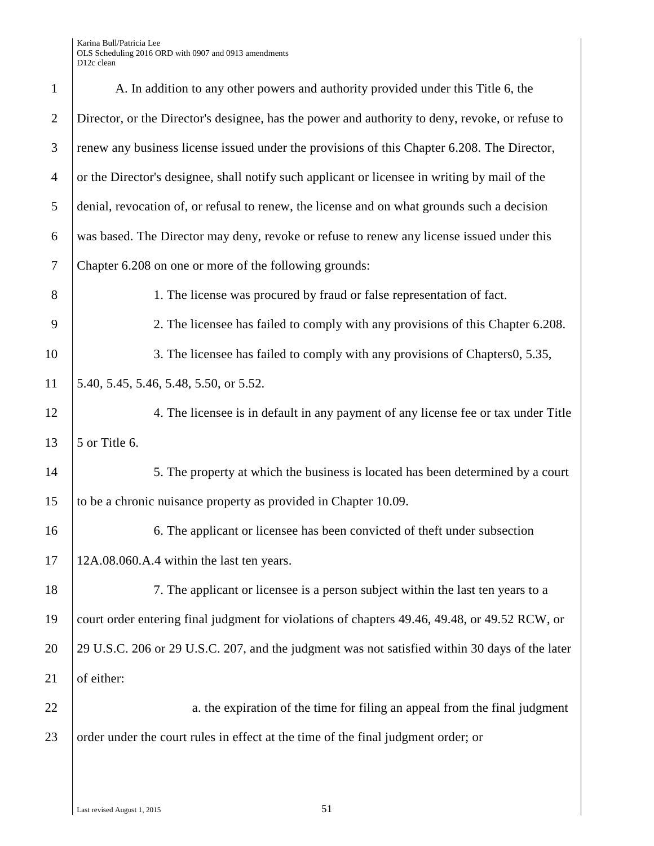| $\mathbf{1}$   | A. In addition to any other powers and authority provided under this Title 6, the               |
|----------------|-------------------------------------------------------------------------------------------------|
| $\overline{2}$ | Director, or the Director's designee, has the power and authority to deny, revoke, or refuse to |
| 3              | renew any business license issued under the provisions of this Chapter 6.208. The Director,     |
| $\overline{4}$ | or the Director's designee, shall notify such applicant or licensee in writing by mail of the   |
| 5              | denial, revocation of, or refusal to renew, the license and on what grounds such a decision     |
| 6              | was based. The Director may deny, revoke or refuse to renew any license issued under this       |
| $\tau$         | Chapter 6.208 on one or more of the following grounds:                                          |
| 8              | 1. The license was procured by fraud or false representation of fact.                           |
| 9              | 2. The licensee has failed to comply with any provisions of this Chapter 6.208.                 |
| 10             | 3. The licensee has failed to comply with any provisions of Chapters0, 5.35,                    |
| 11             | 5.40, 5.45, 5.46, 5.48, 5.50, or 5.52.                                                          |
| 12             | 4. The licensee is in default in any payment of any license fee or tax under Title              |
| 13             | 5 or Title 6.                                                                                   |
| 14             | 5. The property at which the business is located has been determined by a court                 |
| 15             | to be a chronic nuisance property as provided in Chapter 10.09.                                 |
| 16             | 6. The applicant or licensee has been convicted of theft under subsection                       |
| 17             | 12A.08.060.A.4 within the last ten years.                                                       |
| 18             | 7. The applicant or licensee is a person subject within the last ten years to a                 |
| 19             | court order entering final judgment for violations of chapters 49.46, 49.48, or 49.52 RCW, or   |
| 20             | 29 U.S.C. 206 or 29 U.S.C. 207, and the judgment was not satisfied within 30 days of the later  |
| 21             | of either:                                                                                      |
| 22             | a. the expiration of the time for filing an appeal from the final judgment                      |
| 23             | order under the court rules in effect at the time of the final judgment order; or               |
|                |                                                                                                 |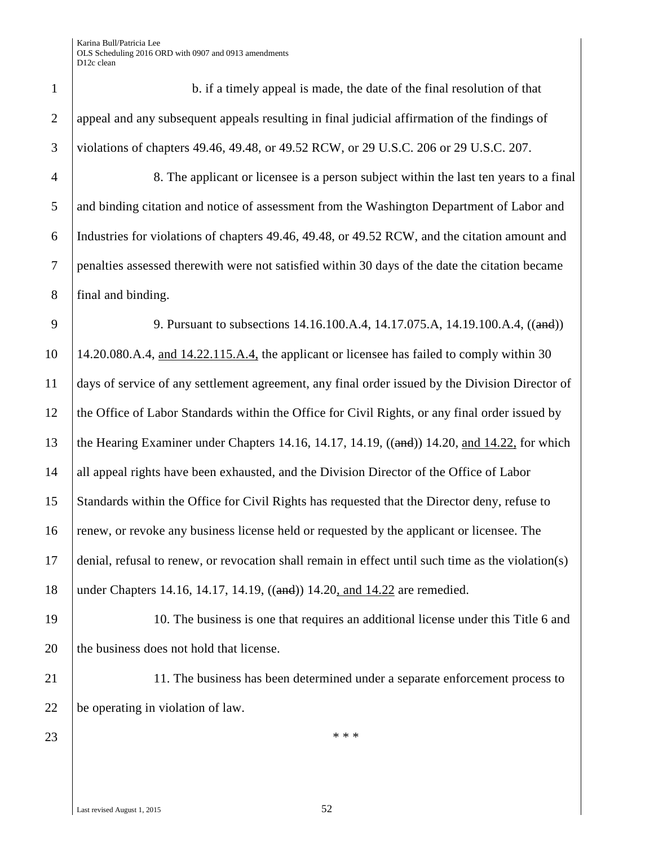b. if a timely appeal is made, the date of the final resolution of that appeal and any subsequent appeals resulting in final judicial affirmation of the findings of violations of chapters 49.46, 49.48, or 49.52 RCW, or 29 U.S.C. [206](https://www.municode.com/library/wa/seattle/codes/municipal_code?nodeId=SEZOMA_MAP_206) or 29 U.S.C. [207.](https://www.municode.com/library/wa/seattle/codes/municipal_code?nodeId=SEZOMA_MAP_207) 8. The applicant or licensee is a person subject within the last ten years to a final and binding citation and notice of assessment from the Washington Department of Labor and Industries for violations of chapters 49.46, 49.48, or 49.52 RCW, and the citation amount and penalties assessed therewith were not satisfied within 30 days of the date the citation became final and binding. 9 9. Pursuant to subsections 14.16.100.A.4, 14.17.075.A, 14.19.100.A.4, ((and)) 14.20.080.A.4, and 14.22.115.A.4, the applicant or licensee has failed to comply within 30 days of service of any settlement agreement, any final order issued by the Division Director of 12 the Office of Labor Standards within the Office for Civil Rights, or any final order issued by the Hearing Examiner under Chapters [14.16,](https://www.municode.com/library/wa/seattle/codes/municipal_code?nodeId=TIT14HURI_CH14.16PASITIPASATI) [14.17,](https://www.municode.com/library/wa/seattle/codes/municipal_code?nodeId=TIT14HURI_CH14.17THUSCRHIEMDE) [14.19,](https://www.municode.com/library/wa/seattle/codes/municipal_code?nodeId=TIT14HURI_CH14.19MIWAMICORAEMPEWOSE) ((and)) [14.20,](https://www.municode.com/library/wa/seattle/codes/municipal_code?nodeId=TIT14HURI_CH14.20WATICORE) and 14.22, for which 14 all appeal rights have been exhausted, and the Division Director of the Office of Labor Standards within the Office for Civil Rights has requested that the Director deny, refuse to renew, or revoke any business license held or requested by the applicant or licensee. The denial, refusal to renew, or revocation shall remain in effect until such time as the violation(s) 18 | under Chapters [14.16,](https://www.municode.com/library/wa/seattle/codes/municipal_code?nodeId=TIT14HURI_CH14.16PASITIPASATI) [14.17,](https://www.municode.com/library/wa/seattle/codes/municipal_code?nodeId=TIT14HURI_CH14.17THUSCRHIEMDE) [14.19,](https://www.municode.com/library/wa/seattle/codes/municipal_code?nodeId=TIT14HURI_CH14.19MIWAMICORAEMPEWOSE) ((and)) [14.20,](https://www.municode.com/library/wa/seattle/codes/municipal_code?nodeId=TIT14HURI_CH14.20WATICORE) and 14.22 are remedied. 10. The business is one that requires an additional license under this [Title 6](https://www.municode.com/library/wa/seattle/codes/municipal_code?nodeId=TIT6BURE) and 20 the business does not hold that license. 21 11. The business has been determined under a separate enforcement process to

23  $|$  \*\*\*

22 be operating in violation of law.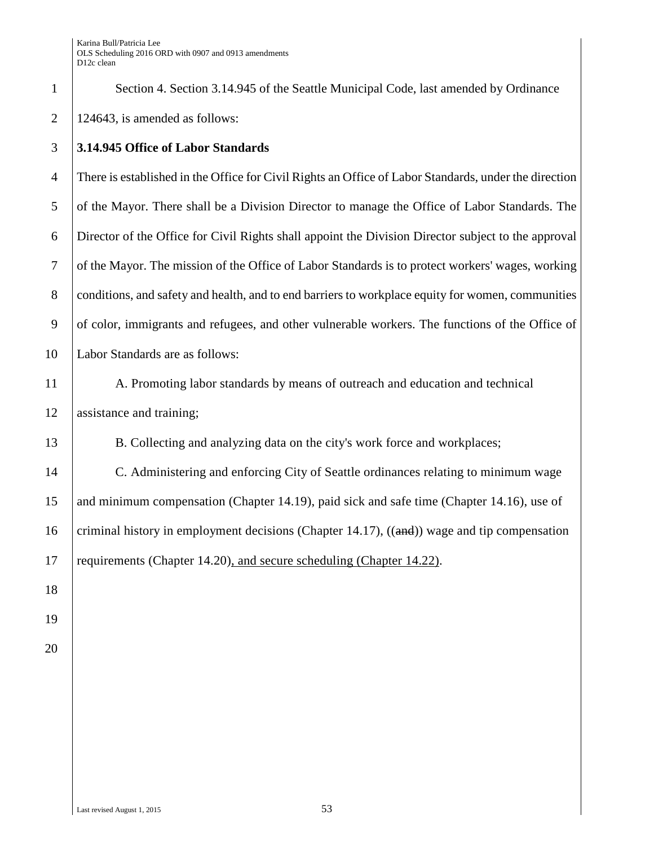| $\mathbf{1}$   | Section 4. Section 3.14.945 of the Seattle Municipal Code, last amended by Ordinance                  |  |
|----------------|-------------------------------------------------------------------------------------------------------|--|
| $\mathfrak{2}$ | 124643, is amended as follows:                                                                        |  |
| 3              | 3.14.945 Office of Labor Standards                                                                    |  |
| $\overline{4}$ | There is established in the Office for Civil Rights an Office of Labor Standards, under the direction |  |
| 5              | of the Mayor. There shall be a Division Director to manage the Office of Labor Standards. The         |  |
| 6              | Director of the Office for Civil Rights shall appoint the Division Director subject to the approval   |  |
| $\tau$         | of the Mayor. The mission of the Office of Labor Standards is to protect workers' wages, working      |  |
| $8\,$          | conditions, and safety and health, and to end barriers to workplace equity for women, communities     |  |
| 9              | of color, immigrants and refugees, and other vulnerable workers. The functions of the Office of       |  |
| 10             | Labor Standards are as follows:                                                                       |  |
| 11             | A. Promoting labor standards by means of outreach and education and technical                         |  |
| 12             | assistance and training;                                                                              |  |
| 13             | B. Collecting and analyzing data on the city's work force and workplaces;                             |  |
| 14             | C. Administering and enforcing City of Seattle ordinances relating to minimum wage                    |  |
| 15             | and minimum compensation (Chapter 14.19), paid sick and safe time (Chapter 14.16), use of             |  |
| 16             | criminal history in employment decisions (Chapter 14.17), $((\text{and}))$ wage and tip compensation  |  |
| 17             | requirements (Chapter 14.20), and secure scheduling (Chapter 14.22).                                  |  |
| 18             |                                                                                                       |  |
| 19             |                                                                                                       |  |
| 20             |                                                                                                       |  |
|                |                                                                                                       |  |
|                |                                                                                                       |  |
|                |                                                                                                       |  |